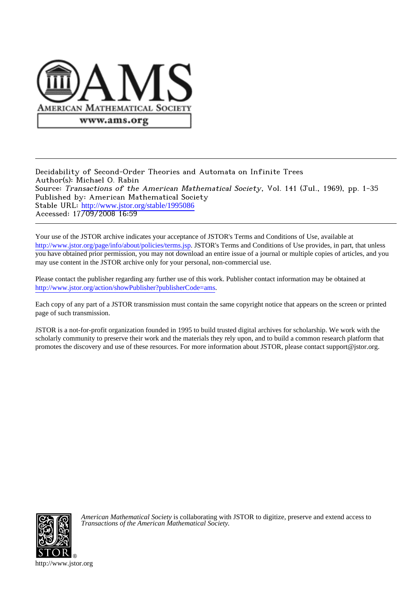

### Decidability of Second-Order Theories and Automata on Infinite Trees Author(s): Michael O. Rabin Source: Transactions of the American Mathematical Society, Vol. 141 (Jul., 1969), pp. 1-35 Published by: American Mathematical Society Stable URL: [http://www.jstor.org/stable/1995086](http://www.jstor.org/stable/1995086?origin=JSTOR-pdf) Accessed: 1770972008 16:59

Your use of the JSTOR archive indicates your acceptance of JSTOR's Terms and Conditions of Use, available at <http://www.jstor.org/page/info/about/policies/terms.jsp>. JSTOR's Terms and Conditions of Use provides, in part, that unless you have obtained prior permission, you may not download an entire issue of a journal or multiple copies of articles, and you may use content in the JSTOR archive only for your personal, non-commercial use.

Please contact the publisher regarding any further use of this work. Publisher contact information may be obtained at <http://www.jstor.org/action/showPublisher?publisherCode=ams>.

Each copy of any part of a JSTOR transmission must contain the same copyright notice that appears on the screen or printed page of such transmission.

JSTOR is a not-for-profit organization founded in 1995 to build trusted digital archives for scholarship. We work with the scholarly community to preserve their work and the materials they rely upon, and to build a common research platform that promotes the discovery and use of these resources. For more information about JSTOR, please contact support@jstor.org.



*American Mathematical Society* is collaborating with JSTOR to digitize, preserve and extend access to *Transactions of the American Mathematical Society.*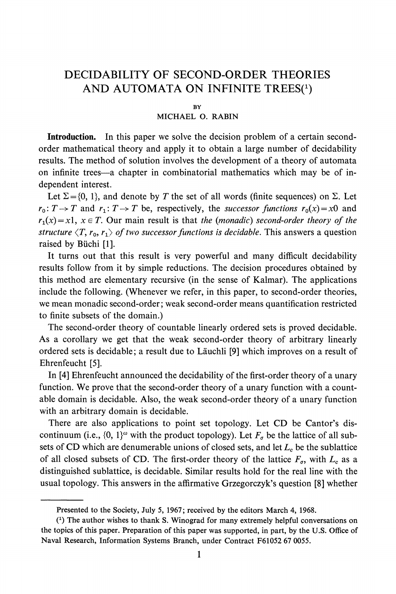## **DECIDABILITY OF SECOND-ORDER THEORIES AND AUTOMATA ON INFINITE TREES(')**

#### **BY**

#### **MICHAEL 0. RABIN**

**Introduction. In this paper we solve the decision problem of a certain secondorder mathematical theory and apply it to obtain a large number of decidability results. The method of solution involves the development of a theory of automata on infinite trees-a chapter in combinatorial mathematics which may be of independent interest.** 

Let  $\Sigma = \{0, 1\}$ , and denote by T the set of all words (finite sequences) on  $\Sigma$ . Let  $r_0: T \to T$  and  $r_1: T \to T$  be, respectively, the successor functions  $r_0(x) = x0$  and  $r_1(x) = x1$ ,  $x \in T$ . Our main result is that the (monadic) second-order theory of the structure  $\langle T, r_0, r_1 \rangle$  of two successor functions is decidable. This answers a question **raised by Biichi [1].** 

**It turns out that this result is very powerful and many difficult decidability results follow from it by simple reductions. The decision procedures obtained by this method are elementary recursive (in the sense of Kalmar). The applications include the following. (Whenever we refer, in this paper, to second-order theories, we mean monadic second-order; weak second-order means quantification restricted to finite subsets of the domain.)** 

**The second-order theory of countable linearly ordered sets is proved decidable. As a corollary we get that the weak second-order theory of arbitrary linearly ordered sets is decidable; a result due to Lauchli [9] which improves on a result of Ehrenfeucht [5].** 

**In [4] Ehrenfeucht announced the decidability of the first-order theory of a unary function. We prove that the second-order theory of a unary function with a countable domain is decidable. Also, the weak second-order theory of a unary function with an arbitrary domain is decidable.** 

**There are also applications to point set topology. Let CD be Cantor's dis**continuum (i.e.,  $\{0, 1\}^{\omega}$  with the product topology). Let  $F_{\sigma}$  be the lattice of all subsets of CD which are denumerable unions of closed sets, and let  $L_c$  be the sublattice of all closed subsets of CD. The first-order theory of the lattice  $F_{\sigma}$ , with  $L_c$  as a **distinguished sublattice, is decidable. Similar results hold for the real line with the usual topology. This answers in the affirmative Grzegorczyk's question [8] whether** 

**Presented to the Society, July 5, 1967; received by the editors March 4, 1968.** 

**<sup>(1)</sup> The author wishes to thank S. Winograd for many extremely helpful conversations on the topics of this paper. Preparation of this paper was supported, in part, by the U.S. Office of Naval Research, Information Systems Branch, under Contract F61052 67 0055.**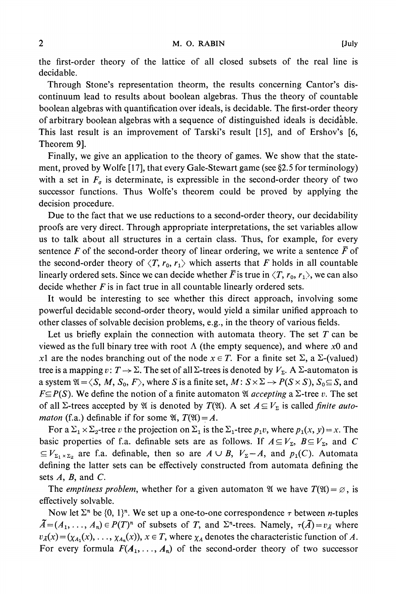**the first-order theory of the lattice of all closed subsets of the real line is decidable.** 

**Through Stone's representation theorm, the results concerning Cantor's discontinuum lead to results about boolean algebras. Thus the theory of countable boolean algebras with quantification over ideals, is decidable. The first-order theory of arbitrary boolean algebras with a sequence of distinguished ideals is decid'able. This last result is an improvement of Tarski's result [15], and of Ershov's [6, Theorem 9].** 

**Finally, we give an application to the theory of games. We show that the statement, proved by Wolfe [17], that every Gale-Stewart game (see §2.5 for terminology)** with a set in  $F_{\sigma}$  is determinate, is expressible in the second-order theory of two **successor functions. Thus Wolfe's theorem could be proved by applying the decision procedure.** 

**Due to the fact that we use reductions to a second-order theory, our decidability proofs are very direct. Through appropriate interpretations, the set variables allow us to talk about all structures in a certain class. Thus, for example, for every**  sentence F of the second-order theory of linear ordering, we write a sentence  $\bar{F}$  of the second-order theory of  $\langle T, r_0, r_1 \rangle$  which asserts that F holds in all countable linearly ordered sets. Since we can decide whether  $\bar{F}$  is true in  $\langle T, r_0, r_1 \rangle$ , we can also **decide whether F is in fact true in all countable linearly ordered sets.** 

**It would be interesting to see whether this direct approach, involving some powerful decidable second-order theory, would yield a similar unified approach to other classes of solvable decision problems, e.g., in the theory of various fields.** 

**Let us briefly explain the connection with automata theory. The set T can be**  viewed as the full binary tree with root  $\Lambda$  (the empty sequence), and where x0 and *x*1 are the nodes branching out of the node  $x \in T$ . For a finite set  $\Sigma$ , a  $\Sigma$ -(valued) **tree is a mapping v:**  $T \rightarrow \Sigma$ . The set of all  $\Sigma$ -trees is denoted by  $V_{\Sigma}$ . A  $\Sigma$ -automaton is **a** system  $\mathfrak{A} = \langle S, M, S_0, F \rangle$ , where S is a finite set,  $M: S \times \Sigma \rightarrow P(S \times S)$ ,  $S_0 \subseteq S$ , and  $F \subseteq P(S)$ . We define the notion of a finite automaton *W* accepting a  $\Sigma$ -tree v. The set of all  $\Sigma$ -trees accepted by  $\mathfrak{A}$  is denoted by  $T(\mathfrak{A})$ . A set  $A \subseteq V_{\Sigma}$  is called *finite automaton* (f.a.) definable if for some  $\mathfrak{A}, T(\mathfrak{A}) = A$ .

For a  $\Sigma_1 \times \Sigma_2$ -tree v the projection on  $\Sigma_1$  is the  $\Sigma_1$ -tree  $p_1v$ , where  $p_1(x, y) = x$ . The basic properties of f.a. definable sets are as follows. If  $A \subseteq V_{\Sigma}$ ,  $B \subseteq V_{\Sigma}$ , and C  $\subseteq$  **V**<sub> $\Sigma_1 \times \Sigma_2$  are f.a. definable, then so are  $A \cup B$ ,  $V_{\Sigma} - A$ , and  $p_1(C)$ . Automata</sub> **defining the latter sets can be effectively constructed from automata defining the sets A, B, and C.** 

The *emptiness problem*, whether for a given automaton  $\mathfrak{A}$  we have  $T(\mathfrak{A}) = \emptyset$ , is **effectively solvable.** 

Now let  $\Sigma^n$  be  $\{0, 1\}^n$ . We set up a one-to-one correspondence  $\tau$  between *n*-tuples  $\tilde{A} = (A_1, \ldots, A_n) \in P(T)^n$  of subsets of T, and  $\Sigma^n$ -trees. Namely,  $\tau(\tilde{A}) = v_{\tilde{A}}$  where  $v_A(x) = (x_{A_1}(x), \ldots, x_{A_n}(x)), x \in T$ , where  $\chi_A$  denotes the characteristic function of A. For every formula  $F(A_1, \ldots, A_n)$  of the second-order theory of two successor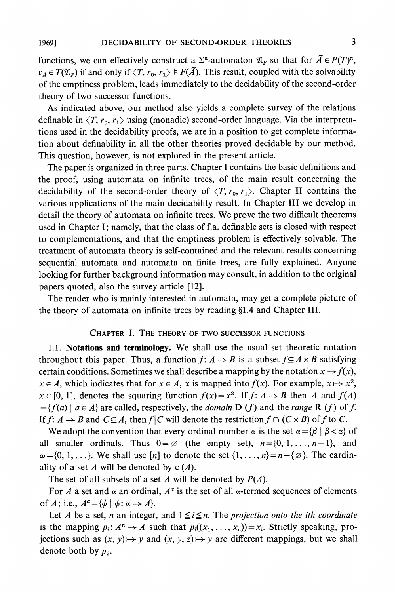functions, we can effectively construct a  $\Sigma$ <sup>n</sup>-automaton  $\mathfrak{A}_F$  so that for  $\overline{A} \in P(T)^n$ ,  $v_{\tilde{A}} \in T(\mathfrak{A}_F)$  if and only if  $\langle T, r_0, r_1 \rangle \models F(\tilde{A})$ . This result, coupled with the solvability **of the emptiness problem, leads immediately to the decidability of the second-order theory of two successor functions.** 

**As indicated above, our method also yields a complete survey of the relations**  definable in  $\langle T, r_0, r_1 \rangle$  using (monadic) second-order language. Via the interpreta**tions used in the decidability proofs, we are in a position to get complete information about definability in all the other theories proved decidable by our method. This question, however, is not explored in the present article.** 

**The paper is organized in three parts. Chapter I contains the basic definitions and the proof, using automata on infinite trees, of the main result concerning the**  decidability of the second-order theory of  $\langle T, r_0, r_1 \rangle$ . Chapter II contains the **various applications of the main decidability result. In Chapter III we develop in detail the theory of automata on infinite trees. We prove the two difficult theorems used in Chapter I; namely, that the class of f.a. definable sets is closed with respect to complementations, and that the emptiness problem is effectively solvable. The treatment of automata theory is self-contained and the relevant results concerning sequential automata and automata on finite trees, are fully explained. Anyone looking for further background information may consult, in addition to the original papers quoted, also the survey article [12].** 

**The reader who is mainly interested in automata, may get a complete picture of**  the theory of automata on infinite trees by reading §1.4 and Chapter III.

#### **CHAPTER 1. THE THEORY OF TWO SUCCESSOR FUNCTIONS**

**1.1. Notations and terminology. We shall use the usual set theoretic notation throughout this paper. Thus, a function**  $f: A \rightarrow B$  **is a subset**  $f \subseteq A \times B$  **satisfying** certain conditions. Sometimes we shall describe a mapping by the notation  $x \mapsto f(x)$ ,  $x \in A$ , which indicates that for  $x \in A$ , x is mapped into  $f(x)$ . For example,  $x \mapsto x^2$ ,  $x \in [0, 1]$ , denotes the squaring function  $f(x) = x^2$ . If  $f: A \rightarrow B$  then A and  $f(A)$  $=\{f(a) \mid a \in A\}$  are called, respectively, the *domain* D (*f*) and the *range* R (*f*) of *f*. If  $f: A \rightarrow B$  and  $C \subseteq A$ , then  $f \mid C$  will denote the restriction  $f \cap (C \times B)$  of f to C.

We adopt the convention that every ordinal number  $\alpha$  is the set  $\alpha = {\beta | \beta < \alpha}$  of all smaller ordinals. Thus  $0 = \emptyset$  (the empty set),  $n = \{0, 1, \ldots, n-1\}$ , and  $\omega = \{0, 1, \ldots\}$ . We shall use [n] to denote the set  $\{1, \ldots, n\} = n - \{\emptyset\}$ . The cardinality of a set  $A$  will be denoted by  $c(A)$ .

The set of all subsets of a set  $A$  will be denoted by  $P(A)$ .

For A a set and  $\alpha$  an ordinal,  $A^{\alpha}$  is the set of all  $\alpha$ -termed sequences of elements of A; i.e.,  $A^{\alpha} = {\phi \mid \phi : \alpha \rightarrow A}.$ 

Let A be a set, n an integer, and  $1 \leq i \leq n$ . The projection onto the ith coordinate is the mapping  $p_i: A^n \to A$  such that  $p_i((x_1, \ldots, x_n)) = x_i$ . Strictly speaking, pro**jections such as**  $(x, y) \mapsto y$  and  $(x, y, z) \mapsto y$  are different mappings, but we shall denote both by  $p_2$ .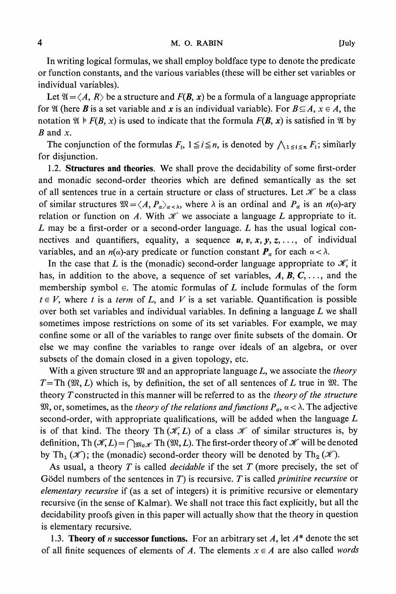**In writing logical formulas, we shall employ boldface type to denote the predicate or function constants, and the various variables (these will be either set variables or individual variables).** 

Let  $\mathfrak{A} = \langle A, R \rangle$  be a structure and  $F(B, x)$  be a formula of a language appropriate for  $\mathfrak{A}$  (here **B** is a set variable and **x** is an individual variable). For  $B \subseteq A$ ,  $x \in A$ , the notation  $\mathfrak{A} \models F(B, x)$  is used to indicate that the formula  $F(B, x)$  is satisfied in  $\mathfrak{A}$  by  $B$  and  $x$ .

The conjunction of the formulas  $F_i$ ,  $1 \leq i \leq n$ , is denoted by  $\bigwedge_{1 \leq i \leq n} F_i$ ; similarly **for disjunction.** 

**1.2. Structures and theories. We shall prove the decidability of some first-order and monadic second-order theories which are defined semantically as the set**  of all sentences true in a certain structure or class of structures. Let  $\mathcal X$  be a class of similar structures  $\mathfrak{M} = \langle A, P_{\alpha} \rangle_{\alpha < \lambda}$ , where  $\lambda$  is an ordinal and  $P_{\alpha}$  is an  $n(\alpha)$ -ary relation or function on A. With  $\mathscr K$  we associate a language L appropriate to it. **L may be a first-order or a second-order language. L has the usual logical con**nectives and quantifiers, equality, a sequence  $u, v, x, y, z, \ldots$ , of individual **variables, and an**  $n(\alpha)$ **-ary predicate or function constant**  $P_{\alpha}$  **for each**  $\alpha < \lambda$ **.** 

In the case that L is the (monadic) second-order language appropriate to  $\mathcal{K}$ , it **has, in addition to the above, a sequence of set variables, A, B, C, . . ., and the membership symbol**  $\in$ **. The atomic formulas of L include formulas of the form**  $t \in V$ , where t is a term of L, and V is a set variable. Quantification is possible **over both set variables and individual variables. In defining a language L we shall sometimes impose restrictions on some of its set variables. For example, we may confine some or all of the variables to range over finite subsets of the domain. Or else we may confine the variables to range over ideals of an algebra, or over subsets of the domain closed in a given topology, etc.** 

**With a given structure 9M and an appropriate language L, we associate the theory**   $T = Th (W, L)$  which is, by definition, the set of all sentences of L true in  $W$ . The **theory Tconstructed in this manner will be referred to as the theory of the structure**   $\mathfrak{M}$ , or, sometimes, as the *theory of the relations and functions*  $P_{\alpha}$ ,  $\alpha < \lambda$ . The adjective **second-order, with appropriate qualifications, will be added when the language L**  is of that kind. The theory Th  $(\mathcal{K}, L)$  of a class  $\mathcal K$  of similar structures is, by **definition, Th**  $(\mathcal{K}, L) = \bigcap_{\mathfrak{M}\in\mathcal{K}}$  Th  $(\mathfrak{M}, L)$ . The first-order theory of  $\mathcal{K}$  will be denoted by Th<sub>1</sub> ( $\mathscr{K}$ ); the (monadic) second-order theory will be denoted by Th<sub>2</sub> ( $\mathscr{K}$ ).

**As usual, a theory T is called decidable if the set T (more precisely, the set of**  Gödel numbers of the sentences in  $T$ ) is recursive.  $T$  is called *primitive recursive* or **elementary recursive if (as a set of integers) it is primitive recursive or elementary recursive (in the sense of Kalmar). We shall not trace this fact explicitly, but all the decidability proofs given in this paper will actually show that the theory in question is elementary recursive.** 

**1.3. Theory of** *n* **successor functions. For an arbitrary set** *A***, let**  $A^*$  **denote the set** of all finite sequences of elements of A. The elements  $x \in A$  are also called words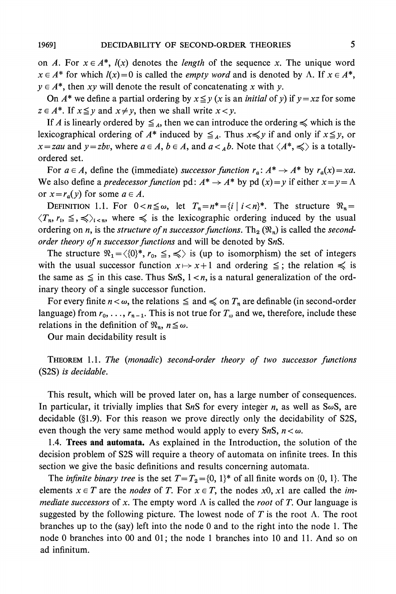on A. For  $x \in A^*$ ,  $l(x)$  denotes the *length* of the sequence x. The unique word  $x \in A^*$  for which  $l(x)=0$  is called the *empty word* and is denoted by  $\Lambda$ . If  $x \in A^*$ ,  $y \in A^*$ , then xy will denote the result of concatenating x with y.

On  $A^*$  we define a partial ordering by  $x \le y$  (x is an *initial* of y) if  $y = xz$  for some  $z \in A^*$ . If  $x \leq y$  and  $x \neq y$ , then we shall write  $x < y$ .

If A is linearly ordered by  $\leq_{\substack{A}}$ , then we can introduce the ordering  $\leq$  which is the **lexicographical ordering of**  $A^*$  **induced by**  $\leq_{A}$ **. Thus**  $x \leq y$  **if and only if**  $x \leq y$ **, or**  $x = zau$  and  $y = zbv$ , where  $a \in A$ ,  $b \in A$ , and  $a <_{A}b$ . Note that  $\langle A^*, \leq \rangle$  is a totally**ordered set.** 

For  $a \in A$ , define the (immediate) successor function  $r_a: A^* \to A^*$  by  $r_a(x) = xa$ . We also define a *predecessor function*  $\text{pd}: A^* \to A^*$  by  $\text{pd}(x) = y$  if either  $x = y = \Lambda$ or  $x = r_a(y)$  for some  $a \in A$ .

**DEFINITION** 1.1. For  $0 < n \leq \omega$ , let  $T_n = n^* = \{i \mid i < n\}^*$ . The structure  $\Re_n =$  $\langle T_n, r_i, \leq, \leq \rangle_{i \leq n}$ , where  $\leq$  is the lexicographic ordering induced by the usual ordering on *n*, is the *structure of n successor functions*. Th<sub>2</sub>  $(\mathfrak{R}_n)$  is called the *second***order theory of n successor functions and will be denoted by SnS.** 

The structure  $\mathcal{R}_1 = \langle \{0\}^*, r_0, \leq \, \preccurlyeq \rangle$  is (up to isomorphism) the set of integers with the usual successor function  $x \mapsto x+1$  and ordering  $\leq$ ; the relation  $\leq$  is the same as  $\leq$  in this case. Thus SnS,  $1 < n$ , is a natural generalization of the ord**inary theory of a single successor function.** 

For every finite  $n < \omega$ , the relations  $\leq$  and  $\leq$  on  $T_n$  are definable (in second-order language) from  $r_0, \ldots, r_{n-1}$ . This is not true for  $T_\omega$  and we, therefore, include these **relations in the definition of**  $\mathcal{R}_n$ **,**  $n \leq \omega$ **.** 

**Our main decidability result is** 

**THEOREM 1.1. The (monadic) second-order theory of two successor functions (S2S) is decidable.** 

**This result, which will be proved later on, has a large number of consequences.**  In particular, it trivially implies that SnS for every integer n, as well as  $S\omega S$ , are **decidable (?1.9). For this reason we prove directly only the decidability of S2S,**  even though the very same method would apply to every SnS,  $n < \omega$ .

**1.4. Trees and automata. As explained in the Introduction, the solution of the decision problem of S2S will require a theory of automata on infinite trees. In this section we give the basic definitions and results concerning automata.** 

The *infinite binary tree* is the set  $T = T_2 = \{0, 1\}^*$  of all finite words on  $\{0, 1\}$ . The elements  $x \in T$  are the *nodes* of T. For  $x \in T$ , the nodes  $x0$ ,  $x1$  are called the *immediate successors* of x. The empty word  $\Lambda$  is called the *root* of T. Our language is suggested by the following picture. The lowest node of T is the root  $\Lambda$ . The root **branches up to the (say) left into the node 0 and to the right into the node 1. The node 0 branches into 00 and 01; the node 1 branches into 10 and 11. And so on ad infinitum.**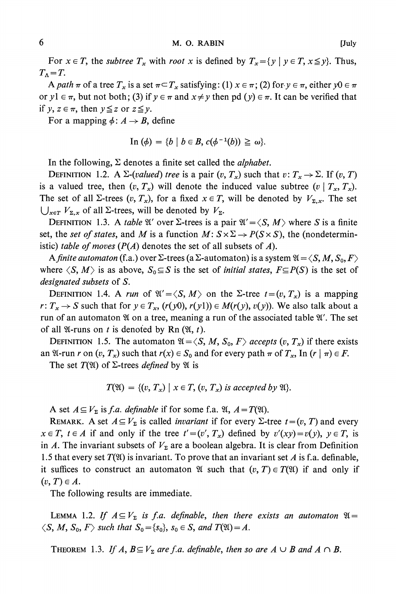For  $x \in T$ , the *subtree*  $T_x$  with root x is defined by  $T_x = \{y \mid y \in T, x \leq y\}$ . Thus,  $T_{\Lambda}=T$ .

**A** path  $\pi$  of a tree  $T_x$  is a set  $\pi \subset T_x$  satisfying: (1)  $x \in \pi$ ; (2) for  $y \in \pi$ , either  $y0 \in \pi$ **or**  $y$ **l**  $\in \pi$ , but not both; (3) if  $y \in \pi$  and  $x \neq y$  then pd  $(y) \in \pi$ . It can be verified that **if**  $y, z \in \pi$ , then  $y \leq z$  or  $z \leq y$ .

For a mapping  $\phi: A \rightarrow B$ , define

In 
$$
(\phi)
$$
 = {b | b \in B,  $c(\phi^{-1}(b)) \ge \omega$  }.

In the following,  $\Sigma$  denotes a finite set called the *alphabet*.

**DEFINITION** 1.2. A  $\Sigma$ -(valued) tree is a pair  $(v, T_x)$  such that  $v: T_x \to \Sigma$ . If  $(v, T)$ is a valued tree, then  $(v, T_x)$  will denote the induced value subtree  $(v | T_x, T_x)$ . The set of all  $\Sigma$ -trees  $(v, T_x)$ , for a fixed  $x \in T$ , will be denoted by  $V_{\Sigma, x}$ . The set  $\bigcup_{x \in T} V_{\Sigma,x}$  of all  $\Sigma$ -trees, will be denoted by  $V_{\Sigma}$ .

**DEFINITION** 1.3. A *table*  $\mathfrak{A}'$  over  $\Sigma$ -trees is a pair  $\mathfrak{A}' = \langle S, M \rangle$  where S is a finite set, the set of states, and M is a function  $M: S \times \Sigma \rightarrow P(S \times S)$ , the (nondeterministic) *table of moves*  $(P(A)$  denotes the set of all subsets of  $A$ ).

**A** finite automaton (f.a.) over  $\Sigma$ -trees (a  $\Sigma$ -automaton) is a system  $\mathfrak{A} = \langle S, M, S_0, F \rangle$ where  $\langle S, M \rangle$  is as above,  $S_0 \subseteq S$  is the set of *initial states, F* $\subseteq P(S)$  is the set of **designated subsets of S.** 

**DEFINITION** 1.4. A run of  $\mathfrak{A}' = \langle S, M \rangle$  on the  $\Sigma$ -tree  $t = (v, T_x)$  is a mapping  $r: T_x \to S$  such that for  $y \in T_x$ ,  $(r(y0), r(y1)) \in M(r(y), v(y))$ . We also talk about a **run of an automaton % on a tree, meaning a run of the associated table V'. The set**  of all  $\mathfrak{A}$ -runs on t is denoted by Rn  $(\mathfrak{A}, t)$ .

**DEFINITION** 1.5. The automaton  $\mathfrak{A} = \langle S, M, S_0, F \rangle$  accepts  $(v, T_x)$  if there exists **an**  $\mathfrak{A}$ -run r on  $(v, T_x)$  such that  $r(x) \in S_0$  and for every path  $\pi$  of  $T_x$ , In  $(r | \pi) \in F$ .

The set  $T(\mathfrak{A})$  of  $\Sigma$ -trees *defined* by  $\mathfrak{A}$  is

$$
T(\mathfrak{A}) = \{(v, T_x) \mid x \in T, (v, T_x) \text{ is accepted by } \mathfrak{A}\}.
$$

**A** set  $A \subseteq V_{\Sigma}$  is *f.a. definable* if for some *f.a.*  $\mathfrak{A}, A = T(\mathfrak{A})$ .

**REMARK.** A set  $A \subseteq V_{\Sigma}$  is called *invariant* if for every  $\Sigma$ -tree  $t = (v, T)$  and every  $x \in T$ ,  $t \in A$  if and only if the tree  $t' = (v', T_x)$  defined by  $v'(xy) = v(y)$ ,  $y \in T$ , is in A. The invariant subsets of  $V<sub>\Sigma</sub>$  are a boolean algebra. It is clear from Definition 1.5 that every set  $T(\mathfrak{A})$  is invariant. To prove that an invariant set A is f.a. definable, it suffices to construct an automaton  $\mathfrak{A}$  such that  $(v, T) \in T(\mathfrak{A})$  if and only if  $(v, T) \in A$ .

**The following results are immediate.** 

**LEMMA** 1.2. If  $A \subseteq V_{\Sigma}$  is f.a. definable, then there exists an automaton  $\mathfrak{A} =$  $\langle S, M, S_0, F \rangle$  such that  $S_0 = \{s_0\}, s_0 \in S$ , and  $T(\mathfrak{A}) = A$ .

**THEOREM** 1.3. If  $A$ ,  $B \subseteq V_{\Sigma}$  are f.a. definable, then so are  $A \cup B$  and  $A \cap B$ .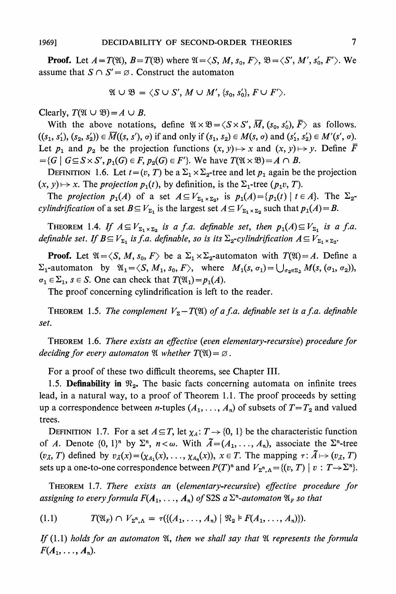**Proof.** Let  $A = T(\mathfrak{A})$ ,  $B = T(\mathfrak{B})$  where  $\mathfrak{A} = \langle S, M, s_0, F \rangle$ ,  $\mathfrak{B} = \langle S', M', s'_0, F' \rangle$ . We assume that  $S \cap S' = \emptyset$ . Construct the automaton

$$
\mathfrak{A}\cup\mathfrak{B}=\langle S\cup S',\,M\cup M',\{s_0,s_0'\},\,F\cup F'\rangle.
$$

**Clearly,**  $T(\mathfrak{A} \cup \mathfrak{B}) = A \cup B$ .

With the above notations, define  $\mathfrak{A} \times \mathfrak{B} = \langle S \times S', \overline{M}, (s_0, s'_0), \overline{F} \rangle$  as follows.  $((s_1, s'_1), (s_2, s'_2)) \in \overline{M}((s, s'), \sigma)$  if and only if  $(s_1, s_2) \in M(s, \sigma)$  and  $(s'_1, s'_2) \in M'(s', \sigma)$ . Let  $p_1$  and  $p_2$  be the projection functions  $(x, y) \mapsto x$  and  $(x, y) \mapsto y$ . Define  $\overline{F}$  $G = \{G \mid G \subseteq S \times S', p_1(G) \in F, p_2(G) \in F'\}.$  We have  $T(\mathfrak{A} \times \mathfrak{B}) = A \cap B$ .

**DEFINITION** 1.6. Let  $t = (v, T)$  be a  $\Sigma_1 \times \Sigma_2$ -tree and let  $p_1$  again be the projection  $(x, y) \mapsto x$ . The *projection*  $p_1(t)$ , by definition, is the  $\Sigma_1$ -tree ( $p_1v, T$ ).

The projection  $p_1(A)$  of a set  $A \subseteq V_{\Sigma_1 \times \Sigma_2}$ , is  $p_1(A) = \{p_1(t) \mid t \in A\}$ . The  $\Sigma_2$ *cylindrification* of a set  $B \subseteq V_{\Sigma_1}$  is the largest set  $A \subseteq V_{\Sigma_1 \times \Sigma_2}$  such that  $p_1(A) = B$ .

**THEOREM** 1.4. If  $A \subseteq V_{\Sigma_1 \times \Sigma_2}$  is a f.a. definable set, then  $p_1(A) \subseteq V_{\Sigma_1}$  is a f.a. **definable set. If**  $B \subseteq V_{\Sigma_1}$  **is f.a. definable, so is its**  $\Sigma_2$ **-cylindrification**  $A \subseteq V_{\Sigma_1 \times \Sigma_2}$ **.** 

**Proof.** Let  $\mathfrak{A} = \langle S, M, s_0, F \rangle$  be a  $\Sigma_1 \times \Sigma_2$ -automaton with  $T(\mathfrak{A}) = A$ . Define a  $\Sigma_1$ -automaton by  $\mathfrak{A}_1 = \langle S, M_1, s_0, F \rangle$ , where  $M_1(s, \sigma_1) = \bigcup_{\sigma_2 \in \Sigma_2} M(s, (\sigma_1, \sigma_2)),$  $\sigma_1 \in \Sigma_1$ ,  $s \in S$ . One can check that  $T(\mathfrak{A}_1) = p_1(A)$ .

**The proof concerning cylindrification is left to the reader.** 

**THEOREM** 1.5. The complement  $V_{\Sigma} - T(\mathfrak{A})$  of a f.a. definable set is a f.a. definable **set.** 

**THEOREM 1.6. There exists an effective (even elementary-recursive) procedure for**  *deciding for every automaton*  $\mathfrak{A}$  *whether*  $T(\mathfrak{A}) = \emptyset$ .

**For a proof of these two difficult theorems, see Chapter III.** 

1.5. **Definability in**  $\mathcal{R}_2$ . The basic facts concerning automata on infinite trees **lead, in a natural way, to a proof of Theorem 1.1. The proof proceeds by setting**  up a correspondence between *n*-tuples  $(A_1, \ldots, A_n)$  of subsets of  $T = T_2$  and valued **trees.** 

**DEFINITION** 1.7. For a set  $A \subseteq T$ , let  $\chi_A: T \to \{0, 1\}$  be the characteristic function of A. Denote  $\{0, 1\}^n$  by  $\Sigma^n$ ,  $n < \omega$ . With  $\tilde{A} = (A_1, \ldots, A_n)$ , associate the  $\Sigma^n$ -tree  $(v_{\tilde{A}}, T)$  defined by  $v_{\tilde{A}}(x) = (\chi_{A_1}(x), \ldots, \chi_{A_n}(x)), x \in T$ . The mapping  $\tau : \tilde{A} \mapsto (v_{\tilde{A}}, T)$ **sets up a one-to-one correspondence between**  $P(T)^n$  **and**  $V_{\Sigma^n,\Lambda} = \{(v,T) \mid v : T \to \Sigma^n\}.$ 

**THEOREM 1.7. There exists an (elementary-recursive) effective procedure for assigning to every formula**  $F(A_1, \ldots, A_n)$  **of S2S a**  $\Sigma^n$ **-automaton**  $\mathfrak{A}_F$  **so that** 

$$
(1.1) \tT(\mathfrak{A}_F) \cap V_{\Sigma^n,\Lambda} = \tau(\{(A_1,\ldots,A_n) \mid \mathfrak{R}_2 \models F(A_1,\ldots,A_n)\}).
$$

If  $(1.1)$  holds for an automaton  $\mathfrak{A}$ , then we shall say that  $\mathfrak{A}$  represents the formula  $F(A_1,\ldots,A_n).$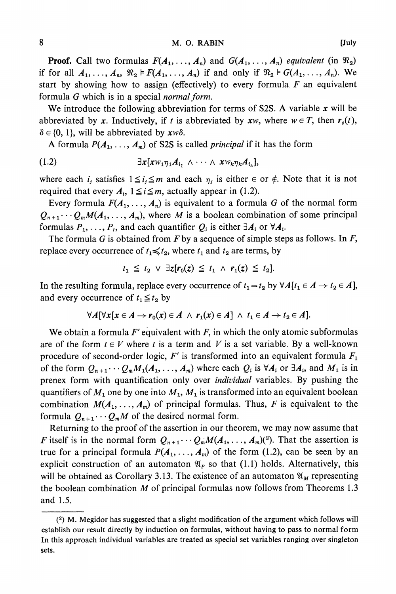**Proof.** Call two formulas  $F(A_1, \ldots, A_n)$  and  $G(A_1, \ldots, A_n)$  equivalent (in  $\mathfrak{R}_2$ ) if for all  $A_1, \ldots, A_n$ ,  $\mathfrak{R}_2 \models F(A_1, \ldots, A_n)$  if and only if  $\mathfrak{R}_2 \models G(A_1, \ldots, A_n)$ . We **start by showing how to assign (effectively) to every formula. F an equivalent**  formula G which is in a special *normal form*.

**We introduce the following abbreviation for terms of S2S. A variable x will be**  abbreviated by x. Inductively, if t is abbreviated by xw, where  $w \in T$ , then  $r_o(t)$ ,  $\delta \in \{0, 1\}$ , will be abbreviated by  $x w \delta$ .

**A** formula  $P(A_1, \ldots, A_m)$  of S2S is called *principal* if it has the form

**(1.2) 3x[xwlq1Ail A ... A XWk?7kAik],** 

where each  $i_j$  satisfies  $1 \leq i_j \leq m$  and each  $\eta_j$  is either  $\in$  or  $\notin$ . Note that it is not required that every  $A_i$ ,  $1 \leq i \leq m$ , actually appear in (1.2).

Every formula  $F(A_1, \ldots, A_n)$  is equivalent to a formula G of the normal form  $Q_{n+1} \cdots Q_m M(A_1, \ldots, A_m)$ , where M is a boolean combination of some principal formulas  $P_1, \ldots, P_r$ , and each quantifier  $Q_i$  is either  $\exists A_i$  or  $\forall A_i$ .

**The formula G is obtained from F by a sequence of simple steps as follows. In F,**  replace every occurrence of  $t_1 \leq t_2$ , where  $t_1$  and  $t_2$  are terms, by

$$
t_1 \leq t_2 \vee \exists z [r_0(z) \leq t_1 \wedge r_1(z) \leq t_2].
$$

In the resulting formula, replace every occurrence of  $t_1 = t_2$  by  $\forall A[t_1 \in A \rightarrow t_2 \in A],$ and every occurrence of  $t_1 \leq t_2$  by

$$
\forall A[\forall x[x \in A \rightarrow r_0(x) \in A \ \land \ r_1(x) \in A] \ \land \ t_1 \in A \rightarrow t_2 \in A].
$$

**We obtain a formula F' equivalent with F, in which the only atomic subformulas**  are of the form  $t \in V$  where t is a term and V is a set variable. By a well-known **procedure of second-order logic, F' is transformed into an equivalent formula F1**  of the form  $Q_{n+1} \cdots Q_m M_1(A_1, \ldots, A_m)$  where each  $Q_i$  is  $\forall A_i$  or  $\exists A_i$ , and  $M_1$  is in **prenex form with quantification only over individual variables. By pushing the**  quantifiers of  $M_1$  one by one into  $M_1$ ,  $M_1$  is transformed into an equivalent boolean combination  $M(A_1, \ldots, A_m)$  of principal formulas. Thus, F is equivalent to the formula  $Q_{n+1} \cdots Q_m M$  of the desired normal form.

**Returning to the proof of the assertion in our theorem, we may now assume that F** itself is in the normal form  $Q_{n+1} \cdots Q_m M(A_1, \ldots, A_m)(2)$ . That the assertion is **true for a principal formula**  $P(A_1, \ldots, A_m)$  **of the form (1.2), can be seen by an** explicit construction of an automaton  $\mathfrak{A}_P$  so that (1.1) holds. Alternatively, this will be obtained as Corollary 3.13. The existence of an automaton  $\mathfrak{A}_M$  representing **the boolean combination M of principal formulas now follows from Theorems 1.3 and 1.5.** 

**<sup>(2)</sup> M. Megidor has suggested that a slight modification of the argument which follows will establish our result directly by induction on formulas, without having to pass to normal form In this approach individual variables are treated as special set variables ranging over singleton sets.**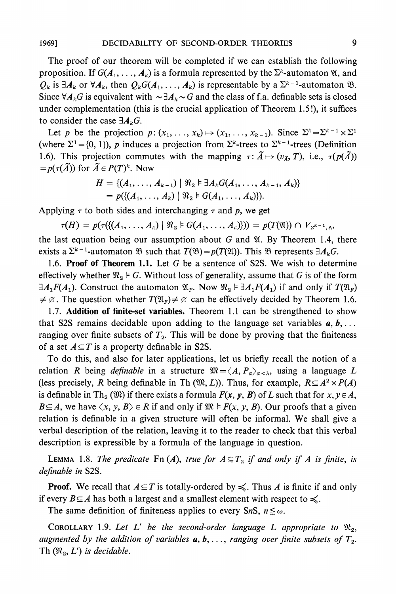**The proof of our theorem will be completed if we can establish the following proposition.** If  $G(A_1, \ldots, A_k)$  is a formula represented by the  $\Sigma^k$ -automaton  $\mathfrak{A}$ , and  $Q_k$  is  $\exists A_k$  or  $\forall A_k$ , then  $Q_k G(A_1, \ldots, A_k)$  is representable by a  $\Sigma^{k-1}$ -automaton  $\mathfrak{B}$ . Since  $\forall A_k G$  is equivalent with  $\sim \exists A_k \sim G$  and the class of f.a. definable sets is closed **under complementation (this is the crucial application of Theorem 1.5!), it suffices**  to consider the case  $\exists A_k G$ .

Let p be the projection  $p: (x_1, \ldots, x_k) \mapsto (x_1, \ldots, x_{k-1})$ . Since  $\Sigma^k = \Sigma^{k-1} \times \Sigma^1$ (where  $\Sigma^1 = \{0, 1\}$ ), p induces a projection from  $\Sigma^k$ -trees to  $\Sigma^{k-1}$ -trees (Definition 1.6). This projection commutes with the mapping  $\tau: \tilde{A} \mapsto (v_{\tilde{A}}, T)$ , i.e.,  $\tau(p(\tilde{A}))$  $=p(\tau(\tilde{A}))$  for  $\tilde{A} \in P(T)^k$ . Now

$$
H = \{ (A_1, \ldots, A_{k-1}) \mid \mathfrak{R}_2 \models \exists A_k G(A_1, \ldots, A_{k-1}, A_k) \} = p(\{ (A_1, \ldots, A_k) \mid \mathfrak{R}_2 \models G(A_1, \ldots, A_k) \}).
$$

Applying  $\tau$  to both sides and interchanging  $\tau$  and p, we get

 $\tau(H) = p(\tau(\{(A_1, \ldots, A_k) \mid \mathfrak{N}_2 \models G(A_1, \ldots, A_k)\})) = p(T(\mathfrak{A})) \cap V_{\Sigma^{k-1},\Lambda},$ 

**the last equation being our assumption about G and W. By Theorem 1.4, there**  exists a  $\Sigma^{k-1}$ -automaton  $\mathfrak{B}$  such that  $T(\mathfrak{B}) = p(T(\mathfrak{A}))$ . This  $\mathfrak{B}$  represents  $\exists A_k G$ .

**1.6. Proof of Theorem 1.1. Let G be a sentence of S2S. We wish to determine**  effectively whether  $\mathfrak{R}_2 \models G$ . Without loss of generality, assume that G is of the form **3A<sub>1</sub>F(A<sub>1</sub>). Construct the automaton**  $\mathfrak{A}_F$ **. Now**  $\mathfrak{R}_2 \models \exists A_1 F(A_1)$  **if and only if**  $T(\mathfrak{A}_F)$  $\neq \emptyset$ . The question whether  $T(\mathfrak{A}_F) \neq \emptyset$  can be effectively decided by Theorem 1.6.

**1.7. Addition of finite-set variables. Theorem 1.1 can be strengthened to show**  that S2S remains decidable upon adding to the language set variables  $a, b, \ldots$ ranging over finite subsets of  $T_2$ . This will be done by proving that the finiteness of a set  $A \subseteq T$  is a property definable in S2S.

**To do this, and also for later applications, let us briefly recall the notion of a relation** R being definable in a structure  $\mathfrak{M} = \langle A, P_{\alpha} \rangle_{\alpha < \lambda}$ , using a language L (less precisely, R being definable in Th  $(\mathfrak{M}, L)$ ). Thus, for example,  $R \subseteq A^2 \times P(A)$ is definable in Th<sub>2</sub> ( $\mathfrak{M}$ ) if there exists a formula  $F(x, y, B)$  of L such that for  $x, y \in A$ ,  $B \subseteq A$ , we have  $\langle x, y, B \rangle \in R$  if and only if  $\mathfrak{M} \models F(x, y, B)$ . Our proofs that a given **relation is definable in a given structure will often be informal. We shall give a verbal description of the relation, leaving it to the reader to check that this verbal description is expressible by a formula of the language in question.** 

**LEMMA** 1.8. The predicate Fn  $(A)$ , true for  $A \subseteq T_2$  if and only if A is finite, is **definable in S2S.** 

**Proof.** We recall that  $A \subseteq T$  is totally-ordered by  $\leq$ . Thus A is finite if and only if every  $B \subseteq A$  has both a largest and a smallest element with respect to  $\leq$ .

The same definition of finiteness applies to every SnS,  $n \leq \omega$ .

**COROLLARY** 1.9. Let L' be the second-order language L appropriate to  $\mathfrak{R}_2$ , augmented by the addition of variables  $a, b, \ldots$ , ranging over finite subsets of  $T_2$ . **Th**  $(\mathfrak{N}_2, L')$  is decidable.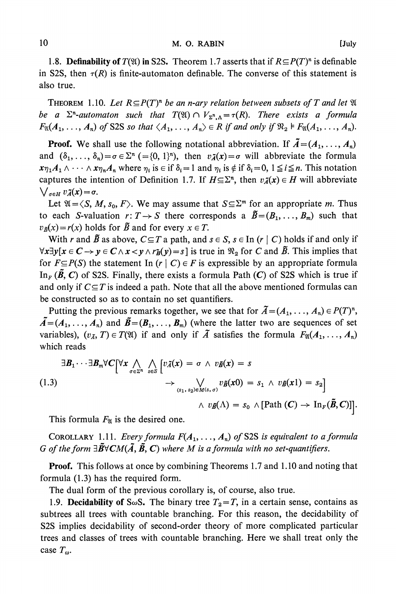1.8. **Definability of**  $T(\mathfrak{A})$  in S2S. Theorem 1.7 asserts that if  $R \subseteq P(T)^n$  is definable in S2S, then  $\tau(R)$  is finite-automaton definable. The converse of this statement is **also true.** 

**THEOREM** 1.10. Let  $R \subseteq P(T)^n$  be an n-ary relation between subsets of T and let  $\mathfrak A$ **be a**  $\Sigma$ <sup>n</sup>-automaton such that  $T(\mathfrak{A}) \cap V_{\Sigma^n,\Lambda} = \tau(R)$ . There exists a formula  $F_{\mathfrak{A}}(A_1, \ldots, A_n)$  of S2S so that  $\langle A_1, \ldots, A_n \rangle \in R$  if and only if  $\mathfrak{R}_2 \models F_{\mathfrak{A}}(A_1, \ldots, A_n)$ .

**Proof.** We shall use the following notational abbreviation. If  $\tilde{A} = (A_1, \ldots, A_n)$ and  $(\delta_1, \ldots, \delta_n) = \sigma \in \Sigma^n$  (={0, 1}<sup>n</sup>), then  $v\tilde{\lambda}(x) = \sigma$  will abbreviate the formula  $x_{\eta_1}A_1 \wedge \cdots \wedge x_{\eta_n}A_n$  where  $\eta_i$  is  $\in$  if  $\delta_i = 1$  and  $\eta_i$  is  $\notin$  if  $\delta_i = 0, 1 \leq i \leq n$ . This notation captures the intention of Definition 1.7. If  $H \subseteq \Sigma^n$ , then  $v_{\tilde{A}}(x) \in H$  will abbreviate  $\bigvee_{\sigma \in H} v_{\tilde{A}}(x) = \sigma.$ 

Let  $\mathfrak{A} = \langle S, M, s_0, F \rangle$ . We may assume that  $S \subseteq \Sigma^m$  for an appropriate *m*. Thus **to each S-valuation**  $r: T \to S$  **there corresponds a**  $\tilde{B}=(B_1,\ldots,B_m)$  **such that**  $v_{\tilde{B}}(x) = r(x)$  holds for  $\tilde{B}$  and for every  $x \in T$ .

With r and  $\tilde{B}$  as above,  $C \subseteq T$  a path, and  $s \in S$ ,  $s \in \text{In (r | } C)$  holds if and only if  $\forall x \exists y [x \in C \rightarrow y \in C \land x \prec y \land r\bar{B}(y) = s]$  is true in  $\Re_2$  for C and  $\bar{B}$ . This implies that for  $F \subseteq P(S)$  the statement In  $(r | C) \in F$  is expressible by an appropriate formula  $\text{In}_{F} (\tilde{B}, C)$  of S2S. Finally, there exists a formula Path (C) of S2S which is true if and only if  $C \subseteq T$  is indeed a path. Note that all the above mentioned formulas can **be constructed so as to contain no set quantifiers.** 

Putting the previous remarks together, we see that for  $\tilde{A} = (A_1, \ldots, A_n) \in P(T)^n$ ,  $\tilde{A} = (A_1, \ldots, A_n)$  and  $\tilde{B} = (B_1, \ldots, B_m)$  (where the latter two are sequences of set variables),  $(v_{\tilde{A}}, T) \in T(\mathfrak{A})$  if and only if  $\tilde{A}$  satisfies the formula  $F_{\mathfrak{A}}(A_1, \ldots, A_n)$ **which reads** 

$$
\exists \mathbf{B}_{1} \cdots \exists \mathbf{B}_{m} \forall C \big[ \forall x \bigwedge_{\sigma \in \Sigma^{n}} \bigwedge_{s \in S} \big[ v \tilde{\Lambda}(x) = \sigma \land v \tilde{\mathbf{B}}(x) = s \big] \rightarrow \bigvee_{(s_{1}, s_{2}) \in M(s, \sigma)} v \tilde{\mathbf{B}}(x0) = s_{1} \land v \tilde{\mathbf{B}}(x1) = s_{2} \big] \rightarrow v \tilde{\mathbf{B}}(\Lambda) = s_{0} \land [\text{Path } (C) \rightarrow \text{In}_{F}(\tilde{\mathbf{B}}, C)] \big].
$$

This formula  $F_{\mathfrak{A}}$  is the desired one.

**COROLLARY** 1.11. Every formula  $F(A_1, \ldots, A_n)$  of S2S is equivalent to a formula G of the form  $\exists \tilde{B} \forall CM(\tilde{A}, \tilde{B}, C)$  where M is a formula with no set-quantifiers.

**Proof. This follows at once by combining Theorems 1.7 and 1.10 and noting that formula (1.3) has the required form.** 

**The dual form of the previous corollary is, of course, also true.** 

1.9. **Decidability of** S $\omega$ S. The binary tree  $T_2 = T$ , in a certain sense, contains as **subtrees all trees with countable branching. For this reason, the decidability of S2S implies decidability of second-order theory of more complicated particular trees and classes of trees with countable branching. Here we shall treat only the**  case  $T_{\omega}$ .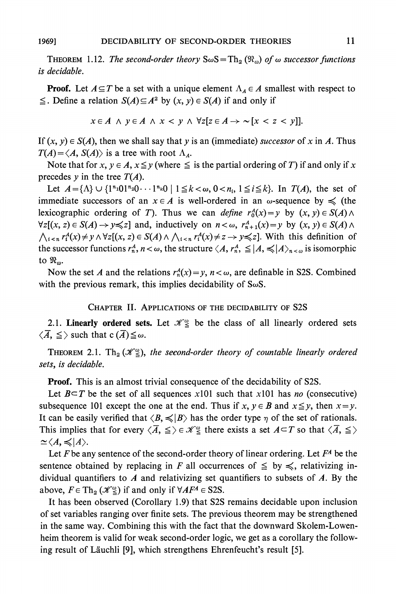**THEOREM** 1.12. The second-order theory  $S\omega S = Th_2(\mathcal{R}_\omega)$  of  $\omega$  successor functions **is decidable.** 

**Proof.** Let  $A \subseteq T$  be a set with a unique element  $\Lambda_A \in A$  smallest with respect to  $\leq$ . Define a relation  $S(A) \subseteq A^2$  by  $(x, y) \in S(A)$  if and only if

$$
x \in A \land y \in A \land x < y \land \forall z [z \in A \rightarrow \sim [x < z < y]].
$$

If  $(x, y) \in S(A)$ , then we shall say that y is an (immediate) successor of x in A. Thus  $T(A) = \langle A, S(A) \rangle$  is a tree with root  $\Lambda_A$ .

Note that for  $x, y \in A$ ,  $x \leq y$  (where  $\leq$  is the partial ordering of T) if and only if x precedes  $y$  in the tree  $T(A)$ .

Let  $A = \{\Lambda\} \cup \{1^{n_1}01^{n_2}0 \cdots 1^{n_k}0 \mid 1 \leq k < \omega, 0 < n_i, 1 \leq i \leq k\}$ . In  $T(A)$ , the set of immediate successors of an  $x \in A$  is well-ordered in an  $\omega$ -sequence by  $\leq$  (the **lexicographic ordering of T). Thus we can define**  $r_0^A(x) = y$  **by**  $(x, y) \in S(A) \land \emptyset$  $\forall z[(x, z) \in S(A) \rightarrow y \leq z]$  and, inductively on  $n < \omega$ ,  $r_{n+1}^A(x) = y$  by  $(x, y) \in S(A) \land z$  $\bigwedge_{i \leq n} r_i^A(x) \neq y \land \forall z [(x, z) \in S(A) \land \bigwedge_{i \leq n} r_i^A(x) \neq z \rightarrow y \leq z].$  With this definition of the successor functions  $r_n^A$ ,  $n < \omega$ , the structure  $\langle A, r_n^A \rangle \leq |A| \leq |A| \leq |\omega|$  is isomorphic to  $\mathfrak{R}_{\omega}$ .

Now the set A and the relations  $r_n^A(x) = y$ ,  $n < \omega$ , are definable in S2S. Combined **with the previous remark, this implies decidability of SwS.** 

#### **CHAPTER II. APPLICATIONS OF THE DECIDABILITY OF S2S**

**2.1. Linearly ordered sets.** Let  $\mathcal{H}_{\leq}^{\omega}$  be the class of all linearly ordered sets  $\langle \overline{A}, \leq \rangle$  such that  $c(\overline{A}) \leq \omega$ .

**THEOREM 2.1.** Th<sub>2</sub> ( $\mathcal{K}_{\leq}^{\omega}$ ), the second-order theory of countable linearly ordered **sets, is decidable.** 

**Proof. This is an almost trivial consequence of the decidability of S2S.** 

Let  $B \subseteq T$  be the set of all sequences x101 such that x101 has no (consecutive) subsequence 101 except the one at the end. Thus if  $x, y \in B$  and  $x \leq y$ , then  $x = y$ . It can be easily verified that  $\langle B, \preccurlyeq | B \rangle$  has the order type  $\eta$  of the set of rationals. This implies that for every  $\langle \overline{A}, \leq \rangle \in \mathcal{K}_{\leq}^{\omega}$  there exists a set  $A \subset T$  so that  $\langle \overline{A}, \leq \rangle$  $\simeq \langle A,\preccurlyeq |A\rangle.$ 

Let  $F$  be any sentence of the second-order theory of linear ordering. Let  $F^A$  be the sentence obtained by replacing in F all occurrences of  $\leq$  by  $\leq$ , relativizing in**dividual quantifiers to A and relativizing set quantifiers to subsets of A. By the**  above,  $F \in \text{Th}_2 \left( \mathcal{K}_{\leq}^{\omega} \right)$  if and only if  $\forall AF^A \in S2S$ .

**It has been observed (Corollary 1.9) that S2S remains decidable upon inclusion of set variables ranging over finite sets. The previous theorem may be strengthened in the same way. Combining this with the fact that the downward Skolem-Lowenheim theorem is valid for weak second-order logic, we get as a corollary the following result of Lauchli [9], which strengthens Ehrenfeucht's result [5].**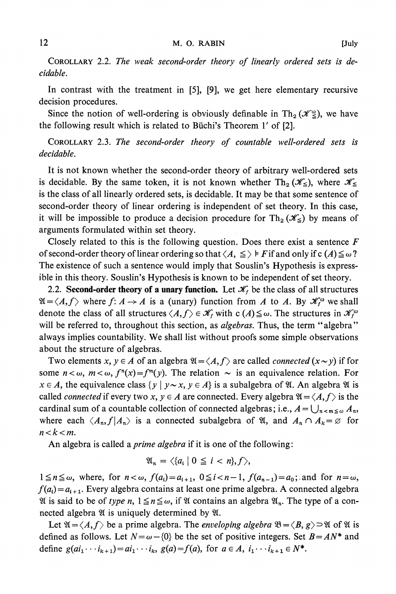**COROLLARY 2.2. The weak second-order theory of linearly ordered sets is decidable.** 

**In contrast with the treatment in [5], [9], we get here elementary recursive decision procedures.** 

Since the notion of well-ordering is obviously definable in  $\text{Th}_2 (\mathcal{K}_{\leq}^{\omega})$ , we have **the following result which is related to Buichi's Theorem 1' of [2].** 

**COROLLARY 2.3. The second-order theory of countable well-ordered sets is decidable.** 

**It is not known whether the second-order theory of arbitrary well-ordered sets**  is decidable. By the same token, it is not known whether  $\text{Th}_2 (\mathscr{K}_{\leq})$ , where  $\mathscr{K}_{\leq}$ **is the class of all linearly ordered sets, is decidable. It may be that some sentence of second-order theory of linear ordering is independent of set theory. In this case,**  it will be impossible to produce a decision procedure for  $\text{Th}_2 (\mathscr{K}_{\leq})$  by means of **arguments formulated within set theory.** 

**Closely related to this is the following question. Does there exist a sentence F**  of second-order theory of linear ordering so that  $\langle A, \leq \rangle \models F$  if and only if  $c(A) \leq \omega$ ? **The existence of such a sentence would imply that Souslin's Hypothesis is expressible in this theory. Souslin's Hypothesis is known to be independent of set theory.** 

2.2. **Second-order theory of a unary function.** Let  $\mathcal{K}_f$  be the class of all structures  $\mathfrak{A} = \langle A, f \rangle$  where  $f: A \to A$  is a (unary) function from A to A. By  $\mathcal{K}^{\omega}$  we shall **denote the class of all structures**  $\langle A, f \rangle \in \mathcal{K}_f$  **with**  $c(A) \leq \omega$ **. The structures in**  $\mathcal{K}_f^{\omega}$ **will be referred to, throughout this section, as algebras. Thus, the term "algebra" always implies countability. We shall list without proofs some simple observations about the structure of algebras.** 

Two elements  $x, y \in A$  of an algebra  $\mathfrak{A} = \langle A, f \rangle$  are called *connected*  $(x \sim y)$  if for some  $n < \omega$ ,  $m < \omega$ ,  $f^{n}(x) = f^{m}(y)$ . The relation  $\sim$  is an equivalence relation. For  $x \in A$ , the equivalence class  $\{y \mid y \sim x, y \in A\}$  is a subalgebra of  $\mathcal{U}$ . An algebra  $\mathcal{U}$  is called *connected* if every two  $x, y \in A$  are connected. Every algebra  $\mathfrak{A} = \langle A, f \rangle$  is the cardinal sum of a countable collection of connected algebras; i.e.,  $A = \bigcup_{n \le m \le \omega} A_n$ , where each  $\langle A_n, f | A_n \rangle$  is a connected subalgebra of  $\mathfrak{A}$ , and  $A_n \cap A_k = \emptyset$  for  $n < k < m$ .

**An algebra is called a prime algebra if it is one of the following:** 

$$
\mathfrak{A}_n = \langle \{a_i \mid 0 \leq i < n\}, f \rangle,
$$

 $1 \le n \le \omega$ , where, for  $n < \omega$ ,  $f(a_i) = a_{i+1}$ ,  $0 \le i < n-1$ ,  $f(a_{n-1}) = a_0$ ; and for  $n = \omega$ ,  $f(a_i) = a_{i+1}$ . Every algebra contains at least one prime algebra. A connected algebra  $\mathfrak{A}$  is said to be of type n,  $1 \leq n \leq \omega$ , if  $\mathfrak{A}$  contains an algebra  $\mathfrak{A}_n$ . The type of a con**nected algebra**  $\mathfrak{A}$  **is uniquely determined by**  $\mathfrak{A}$ **.** 

Let  $\mathfrak{A} = \langle A, f \rangle$  be a prime algebra. The *enveloping algebra*  $\mathfrak{B} = \langle B, g \rangle \supset \mathfrak{A}$  of  $\mathfrak{A}$  is defined as follows. Let  $N = \omega - \{0\}$  be the set of positive integers. Set  $B = AN^*$  and **define**  $g(ai_1 \cdots i_{k+1}) = ai_1 \cdots i_k$ ,  $g(a) = f(a)$ , for  $a \in A$ ,  $i_1 \cdots i_{k+1} \in N^*$ .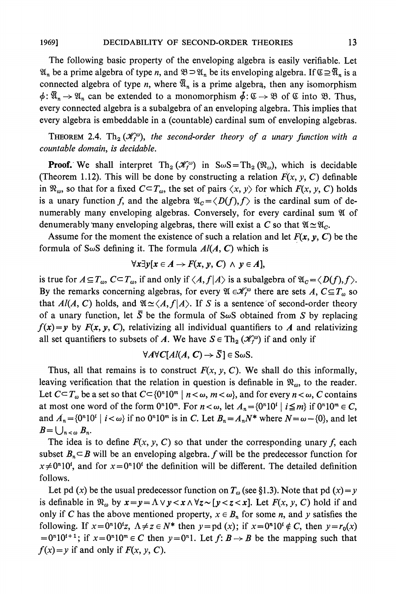**The following basic property of the enveloping algebra is easily verifiable. Let**   $\mathfrak{A}_n$  be a prime algebra of type *n*, and  $\mathfrak{B} \supset \mathfrak{A}_n$  be its enveloping algebra. If  $\mathfrak{C} \supseteq \overline{\mathfrak{A}}_n$  is a connected algebra of type *n*, where  $\overline{\mathfrak{A}}_n$  is a prime algebra, then any isomorphism  $\phi: \overline{\mathfrak{A}}_n \to \mathfrak{A}_n$  can be extended to a monomorphism  $\phi: \mathfrak{C} \to \mathfrak{B}$  of  $\mathfrak{C}$  into  $\mathfrak{B}$ . Thus, **every connected algebra is a subalgebra of an enveloping algebra. This implies that every algebra is embeddable in a (countable) cardinal sum of enveloping algebras.** 

**THEOREM** 2.4. Th<sub>2</sub>  $(\mathcal{K}^{\omega}_{f})$ , the second-order theory of a unary function with a **countable domain, is decidable.** 

**Proof.** We shall interpret  $\text{Th}_2 (\mathcal{K}^{\omega})$  in  $S \omega S = \text{Th}_2 (\mathcal{R}_{\omega})$ , which is decidable (Theorem 1.12). This will be done by constructing a relation  $F(x, y, C)$  definable in  $\mathfrak{R}_{\omega}$ , so that for a fixed  $C \subset T_{\omega}$ , the set of pairs  $\langle x, y \rangle$  for which  $F(x, y, C)$  holds is a unary function f, and the algebra  $\mathfrak{A}_c = \langle D(f), f \rangle$  is the cardinal sum of de**numerably many enveloping algebras. Conversely, for every cardinal sum W of denumerably many enveloping algebras, there will exist a C so that**  $\mathfrak{A} \simeq \mathfrak{A}_c$ **.** 

Assume for the moment the existence of such a relation and let  $F(x, y, C)$  be the formula of S $\omega$ S defining it. The formula  $Al(A, C)$  which is

$$
\forall x \exists y [x \in A \rightarrow F(x, y, C) \land y \in A],
$$

is true for  $A \subseteq T_\omega$ ,  $C \subseteq T_\omega$ , if and only if  $\langle A, f | A \rangle$  is a subalgebra of  $\mathfrak{A}_c = \langle D(f), f \rangle$ . By the remarks concerning algebras, for every  $\mathfrak{A} \in \mathcal{K}_f^{\omega}$  there are sets A,  $C \subseteq T_{\omega}$  so that  $Al(A, C)$  holds, and  $\mathfrak{A} \simeq \langle A, f | A \rangle$ . If S is a sentence of second-order theory of a unary function, let  $\overline{S}$  be the formula of S $\omega$ S obtained from S by replacing  $f(x)=y$  by  $F(x, y, C)$ , relativizing all individual quantifiers to A and relativizing all set quantifiers to subsets of A. We have  $S \in Th_2(\mathcal{K}^{\omega}_f)$  if and only if

$$
\forall A \forall C[A l(A, C) \rightarrow \overline{S}] \in S \omega S.
$$

Thus, all that remains is to construct  $F(x, y, C)$ . We shall do this informally, leaving verification that the relation in question is definable in  $\mathfrak{R}_{\omega}$ , to the reader. Let  $C \subseteq T_\omega$  be a set so that  $C \subseteq \{0^n 10^m \mid n < \omega, m < \omega\}$ , and for every  $n < \omega, C$  contains **at most one word of the form**  $0^n10^m$ **. For**  $n < \omega$ **, let**  $A_n = \{0^n10^i \mid i \leq m\}$  **if**  $0^n10^m \in C$ **,** and  $A_n = \{0^n 10^i \mid i < \omega\}$  if no  $0^n 10^m$  is in C. Let  $B_n = A_n N^*$  where  $N = \omega - \{0\}$ , and let  $B = \bigcup_{n < \omega} B_n$ .

The idea is to define  $F(x, y, C)$  so that under the corresponding unary f, each subset  $B_n \subseteq B$  will be an enveloping algebra.  $f$  will be the predecessor function for  $x \neq 0^n 10^i$ , and for  $x = 0^n 10^i$  the definition will be different. The detailed definition **follows.** 

Let pd (x) be the usual predecessor function on  $T_{\omega}$  (see §1.3). Note that pd (x) = y is definable in  $\mathcal{R}_{\omega}$  by  $x = y = \Lambda \vee y < x \wedge \forall z \sim [y < z < x]$ . Let  $F(x, y, C)$  hold if and only if C has the above mentioned property,  $x \in B_n$  for some *n*, and *y* satisfies the **following.** If  $x = 0^n 10^t z$ ,  $\Lambda \neq z \in N^*$  then  $y = pd(x)$ ; if  $x = 0^n 10^t \notin C$ , then  $y = r_0(x)$  $=0^{n}10^{t+1}$ ; if  $x=0^{n}10^{m} \in C$  then  $y=0^{n}1$ . Let  $f: B \rightarrow B$  be the mapping such that  $f(x) = y$  if and only if  $F(x, y, C)$ .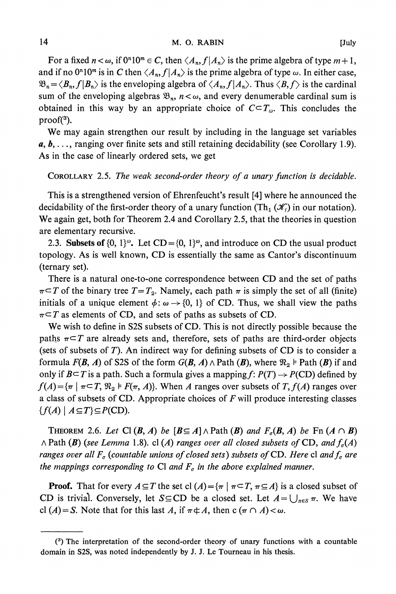For a fixed  $n < \omega$ , if  $0^n 10^m \in C$ , then  $\langle A_n, f | A_n \rangle$  is the prime algebra of type  $m + 1$ , and if no  $0^n10^m$  is in C then  $\langle A_n, f | A_n \rangle$  is the prime algebra of type  $\omega$ . In either case,  $\mathfrak{B}_n = \langle B_n, f | B_n \rangle$  is the enveloping algebra of  $\langle A_n, f | A_n \rangle$ . Thus  $\langle B, f \rangle$  is the cardinal sum of the enveloping algebras  $\mathfrak{B}_n$ ,  $n < \omega$ , and every denumerable cardinal sum is obtained in this way by an appropriate choice of  $C \subset T_\omega$ . This concludes the **proof(3).** 

**We may again strengthen our result by including in the language set variables a, b, . . ., ranging over finite sets and still retaining decidability (see Corollary 1.9). As in the case of linearly ordered sets, we get** 

**COROLLARY 2.5. The weak second-order theory of a unary function is decidable.** 

**This is a strengthened version of Ehrenfeucht's result [4] where he announced the**  decidability of the first-order theory of a unary function (Th<sub>1</sub>  $(\mathscr{K}_f)$  in our notation). **We again get, both for Theorem 2.4 and Corollary 2.5, that the theories in question are elementary recursive.** 

2.3. Subsets of  $\{0, 1\}^\omega$ . Let  $CD = \{0, 1\}^\omega$ , and introduce on CD the usual product **topology. As is well known, CD is essentially the same as Cantor's discontinuum (ternary set).** 

**There is a natural one-to-one correspondence between CD and the set of paths**   $\pi$   $\subset$  **T** of the binary tree  $T = T_2$ . Namely, each path  $\pi$  is simply the set of all (finite) **initials of a unique element**  $\phi$ **:**  $\omega \rightarrow \{0, 1\}$  of CD. Thus, we shall view the paths  $\pi \subset T$  as elements of CD, and sets of paths as subsets of CD.

**We wish to define in S2S subsets of CD. This is not directly possible because the**  paths  $\pi \subset T$  are already sets and, therefore, sets of paths are third-order objects **(sets of subsets of T). An indirect way for defining subsets of CD is to consider a formula**  $F(B, A)$  **of S2S of the form**  $G(B, A) \wedge$  **Path**  $(B)$ **, where**  $\Re_2 \models$  **Path**  $(B)$  **if and** only if  $B \subseteq T$  is a path. Such a formula gives a mapping  $f: P(T) \rightarrow P(CD)$  defined by  $f(A) = \{\pi \mid \pi \subset T, \mathfrak{N}_2 \models F(\pi, A)\}.$  When A ranges over subsets of  $T, f(A)$  ranges over **a class of subsets of CD. Appropriate choices of F will produce interesting classes**   $\{f(A) \mid A \subseteq T\} \subseteq P(CD).$ 

**THEOREM** 2.6. Let Cl  $(B, A)$  be  $[B \subseteq A] \wedge$  Path  $(B)$  and  $F_{\sigma}(B, A)$  be Fn  $(A \cap B)$  $\wedge$  Path (B) (see Lemma 1.8). cl (A) ranges over all closed subsets of CD, and  $f_{\sigma}(A)$ ranges over all  $F_{\sigma}$  (countable unions of closed sets) subsets of CD. Here cl and  $f_{\sigma}$  are the mappings corresponding to Cl and  $F_{\sigma}$  in the above explained manner.

**Proof.** That for every  $A \subseteq T$  the set cl  $(A) = \{\pi \mid \pi \subseteq T, \pi \subseteq A\}$  is a closed subset of **CD** is trivial. Conversely, let  $S \subseteq CD$  be a closed set. Let  $A = \bigcup_{\pi \in S} \pi$ . We have **cl**  $(A) = S$ . Note that for this last A, if  $\pi \notin A$ , then  $c(\pi \cap A) < \omega$ .

**<sup>(3)</sup> The interpretation of the second-order theory of unary functions with a countable domain in S2S, was noted independently by J. J. Le Tourneau in his thesis.**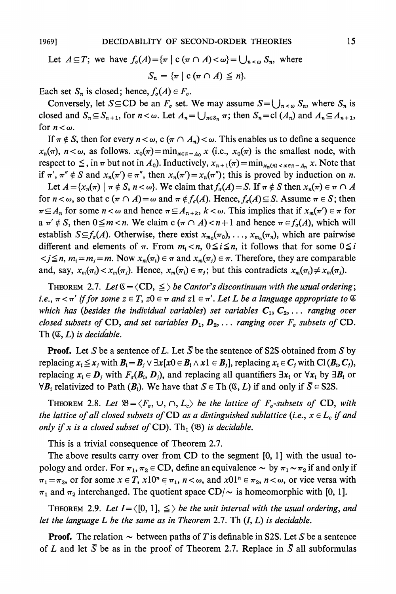# Let  $A \subseteq T$ ; we have  $f_{\sigma}(A) = \{\pi \mid c \ (\pi \cap A) < \omega\} = \bigcup_{n < \omega} S_n$ , where  $S_n = \{ \pi \mid c \, (\pi \cap A) \leq n \}.$

Each set  $S_n$  is closed; hence,  $f_\sigma(A) \in F_\sigma$ .

Conversely, let  $S \subseteq CD$  be an  $F_{\sigma}$  set. We may assume  $S = \bigcup_{n < \omega} S_n$ , where  $S_n$  is closed and  $S_n \subseteq S_{n+1}$ , for  $n < \omega$ . Let  $A_n = \bigcup_{n \in S_n} \pi$ ; then  $S_n = \text{cl}(A_n)$  and  $A_n \subseteq A_{n+1}$ , for  $n < \omega$ .

If  $\pi \notin S$ , then for every  $n < \omega$ , c ( $\pi \cap A_n$ )  $< \omega$ . This enables us to define a sequence  $x_n(\pi)$ ,  $n < \omega$ , as follows.  $x_0(\pi) = \min_{x \in \pi - A_0} x$  (i.e.,  $x_0(\pi)$  is the smallest node, with **respect to**  $\leq$ **, in**  $\pi$  **but not in**  $A_0$ **). Inductively,**  $x_{n+1}(\pi) = \min_{x_n(\pi) < x \in \pi - A_n} x$ **. Note that** if  $\pi'$ ,  $\pi'' \notin S$  and  $x_n(\pi') \in \pi''$ , then  $x_n(\pi') = x_n(\pi'')$ ; this is proved by induction on *n*.

Let  $A = \{x_n(\pi) \mid \pi \notin S, n < \omega\}$ . We claim that  $f_\sigma(A) = S$ . If  $\pi \notin S$  then  $x_n(\pi) \in \pi \cap A$ for  $n < \omega$ , so that  $c(\pi \cap A) = \omega$  and  $\pi \notin f_{\sigma}(A)$ . Hence,  $f_{\sigma}(A) \subseteq S$ . Assume  $\pi \in S$ ; then  $\pi \subseteq A_n$  for some  $n < \omega$  and hence  $\pi \subseteq A_{n+k}$ ,  $k < \omega$ . This implies that if  $x_m(\pi') \in \pi$  for  $a \pi' \notin S$ , then  $0 \leq m < n$ . We claim  $c (\pi \cap A) < n+1$  and hence  $\pi \in f_{\sigma}(A)$ , which will establish  $S \subseteq f_{\sigma}(A)$ . Otherwise, there exist  $x_{m_0}(\pi_0), \ldots, x_{m_n}(\pi_n)$ , which are pairwise different and elements of  $\pi$ . From  $m_i < n$ ,  $0 \le i \le n$ , it follows that for some  $0 \le i$  $\langle j \leq n, m_i = m_j = m$ . Now  $x_m(\pi_i) \in \pi$  and  $x_m(\pi_j) \in \pi$ . Therefore, they are comparable and, say,  $x_m(\pi_i) < x_m(\pi_i)$ . Hence,  $x_m(\pi_i) \in \pi_i$ ; but this contradicts  $x_m(\pi_i) \neq x_m(\pi_i)$ .

**THEOREM 2.7. Let**  $\mathfrak{C} = \langle CD, \leq \rangle$  **be Cantor's discontinuum with the usual ordering;**  $i.e., \pi \leq \pi'$  if for some  $z \in T$ ,  $z0 \in \pi$  and  $z1 \in \pi'$ . Let L be a language appropriate to  $\mathfrak{C}$ which has (besides the individual variables) set variables  $C_1, C_2, \ldots$  ranging over closed subsets of CD, and set variables  $D_1, D_2, \ldots$  ranging over  $F_{\sigma}$  subsets of CD. **Th (C, L) is decidable.** 

**Proof.** Let S be a sentence of L. Let  $\overline{S}$  be the sentence of S2S obtained from S by **replacing**  $x_i \leq x_j$  **with**  $B_i = B_j \vee \exists x [x0 \in B_i \land x1 \in B_j]$ **, replacing**  $x_i \in C_j$  **with Cl**  $(B_i, C_j)$ **,** replacing  $x_i \in D_j$  with  $F_{\sigma}(B_i, D_j)$ , and replacing all quantifiers  $\exists x_i$  or  $\forall x_i$  by  $\exists B_i$  or  $\forall B_i$  relativized to Path  $(B_i)$ . We have that  $S \in \text{Th } (\mathfrak{C}, L)$  if and only if  $\overline{S} \in S2S$ .

**THEOREM** 2.8. Let  $\mathfrak{B} = \langle F_{\sigma}, \cup, \cap, L_{c} \rangle$  be the lattice of  $F_{\sigma}$ -subsets of CD, with the lattice of all closed subsets of CD as a distinguished sublattice (i.e.,  $x \in L_c$  if and only if x is a closed subset of  $CD$ ). Th<sub>1</sub>  $(\mathfrak{B})$  is decidable.

**This is a trivial consequence of Theorem 2.7.** 

**The above results carry over from CD to the segment [0, 1] with the usual topology and order.** For  $\pi_1$ ,  $\pi_2 \in CD$ , define an equivalence  $\sim$  by  $\pi_1 \sim \pi_2$  if and only if  $\pi_1 = \pi_2$ , or for some  $x \in T$ ,  $x10^n \in \pi_1$ ,  $n < \omega$ , and  $x01^n \in \pi_2$ ,  $n < \omega$ , or vice versa with  $\pi_1$  and  $\pi_2$  interchanged. The quotient space CD/ $\sim$  is homeomorphic with [0, 1].

**THEOREM** 2.9. Let  $I = \{0, 1\}$ ,  $\leq$  be the unit interval with the usual ordering, and **let the language L be the same as in Theorem 2.7. Th (I, L) is decidable.** 

**Proof.** The relation  $\sim$  between paths of T is definable in S2S. Let S be a sentence of L and let  $\overline{S}$  be as in the proof of Theorem 2.7. Replace in  $\overline{S}$  all subformulas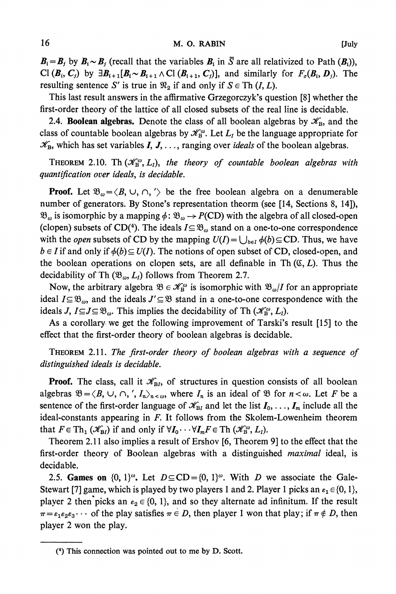$B_i = B_j$  by  $B_i \sim B_j$  (recall that the variables  $B_i$  in  $\overline{S}$  are all relativized to Path  $(B_i)$ ), **Cl**  $(B_i, C_j)$  by  $\exists B_{i+1} [B_i \sim B_{i+1} \land C]$   $(B_{i+1}, C_j)$ , and similarly for  $F_o(B_i, D_j)$ . The **resulting sentence S' is true in**  $\mathfrak{R}_2$  **if and only if**  $S \in \text{Th } (I, L)$ **.** 

**This last result answers in the affirmative Grzegorczyk's question [8] whether the first-order theory of the lattice of all closed subsets of the real line is decidable.** 

**2.4. Boolean algebras.** Denote the class of all boolean algebras by  $\mathscr{K}_{B}$ , and the class of countable boolean algebras by  $\mathcal{K}_{\text{B}}^{\omega}$ . Let  $L_{I}$  be the language appropriate for  $\mathcal{K}_B$ , which has set variables  $I, J, \ldots$ , ranging over *ideals* of the boolean algebras.

**THEOREM** 2.10. Th  $(\mathcal{K}_B^{\omega}, L_I)$ , the theory of countable boolean algebras with **quantification over ideals, is decidable.** 

**Proof.** Let  $\mathfrak{B}_{\omega} = \langle B, \cup, \cap, \cdot \rangle$  be the free boolean algebra on a denumerable **number of generators. By Stone's representation theorm (see [14, Sections 8, 14]),**   $\mathfrak{B}_{\omega}$  is isomorphic by a mapping  $\phi$ :  $\mathfrak{B}_{\omega} \rightarrow P(CD)$  with the algebra of all closed-open (clopen) subsets of CD(<sup>4</sup>). The ideals  $I \subseteq \mathfrak{B}_{\omega}$  stand on a one-to-one correspondence with the *open* subsets of CD by the mapping  $U(I) = \bigcup_{b \in I} \phi(b) \subseteq CD$ . Thus, we have  $b \in I$  if and only if  $\phi(b) \subseteq U(I)$ . The notions of open subset of CD, closed-open, and the boolean operations on clopen sets, are all definable in Th $(G, L)$ . Thus the decidability of Th  $(\mathfrak{B}_{\omega}, L_1)$  follows from Theorem 2.7.

Now, the arbitrary algebra  $\mathfrak{B} \in \mathcal{K}_{\mathbf{B}}^{\omega}$  is isomorphic with  $\mathfrak{B}_{\omega}/I$  for an appropriate ideal  $I \subseteq \mathfrak{B}_{\omega}$ , and the ideals  $J' \subseteq \mathfrak{B}$  stand in a one-to-one correspondence with the ideals *J***,**  $I \subseteq J \subseteq \mathcal{B}_{\omega}$ **. This implies the decidability of Th**  $(\mathcal{K}_{\mathbf{B}}^{\omega}, L_{I})$ **.** 

**As a corollary- we get the following improvement of Tarski's result [15] to the effect that the first-order theory of boolean algebras is decidable.** 

**THEOREM 2.11. The first-order theory of boolean algebras with a sequence of distinguished ideals is decidable.** 

**Proof.** The class, call it  $\mathcal{K}_{\text{B}I}$ , of structures in question consists of all boolean algebras  $\mathfrak{B} = \langle B, \cup, \cap, \langle, I_n \rangle_{n \leq \omega}$ , where  $I_n$  is an ideal of  $\mathfrak{B}$  for  $n < \omega$ . Let F be a **sentence of the first-order language of**  $\mathcal{K}_{\text{B}I}$  **and let the list**  $I_0, \ldots, I_m$  **include all the ideal-constants appearing in F. It follows from the Skolem-Lowenheim theorem that**  $F \in \text{Th}_1(\mathscr{K}_{\text{B}1})$  **if and only if**  $\forall I_0 \cdot \cdot \cdot \forall I_m F \in \text{Th}(\mathscr{K}_{\text{B}}^{\omega}, L_I)$ **.** 

**Theorem 2.11 also implies a result of Ershov [6, Theorem 9] to the effect that the first-order theory of Boolean algebras with a distinguished maximal ideal, is decidable.** 

2.5. **Games on**  $\{0, 1\}^{\omega}$ . Let  $D \subseteq CD = \{0, 1\}^{\omega}$ . With D we associate the Gale-Stewart [7] game, which is played by two players 1 and 2. Player 1 picks an  $\varepsilon_1 \in \{0, 1\}$ , **player 2 then picks an**  $\varepsilon_2 \in \{0, 1\}$ , and so they alternate ad infinitum. If the result  $\pi = \varepsilon_1 \varepsilon_2 \varepsilon_3 \cdots$  of the play satisfies  $\pi \in D$ , then player 1 won that play; if  $\pi \notin D$ , then **player 2 won the play.** 

**<sup>(4)</sup> This connection was pointed out to me by D. Scott.**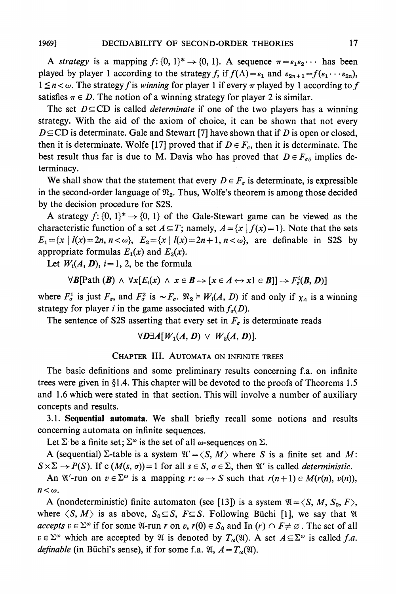**A** strategy is a mapping  $f: \{0, 1\}^* \rightarrow \{0, 1\}$ . A sequence  $\pi = \varepsilon_1 \varepsilon_2 \cdots$  has been **played** by player 1 according to the strategy f, if  $f(\Lambda) = \varepsilon_1$  and  $\varepsilon_{2n+1} = f(\varepsilon_1 \cdots \varepsilon_{2n})$ ,  $1 \le n < \omega$ . The strategy f is winning for player 1 if every  $\pi$  played by 1 according to f satisfies  $\pi \in D$ . The notion of a winning strategy for player 2 is similar.

The set  $D \subseteq CD$  is called *determinate* if one of the two players has a winning **strategy. With the aid of the axiom of choice, it can be shown that not every**   $D \subseteq CD$  is determinate. Gale and Stewart [7] have shown that if  $D$  is open or closed, then it is determinate. Wolfe [17] proved that if  $D \in F_{\sigma}$ , then it is determinate. The best result thus far is due to M. Davis who has proved that  $D \in F_{\sigma \delta}$  implies de**terminacy.** 

We shall show that the statement that every  $D \in F_{\sigma}$  is determinate, is expressible in the second-order language of  $\mathfrak{R}_2$ . Thus, Wolfe's theorem is among those decided **by the decision procedure for S2S.** 

**A** strategy  $f: \{0, 1\}^* \rightarrow \{0, 1\}$  of the Gale-Stewart game can be viewed as the **characteristic function of a set**  $A \subseteq T$ **; namely,**  $A = \{x \mid f(x) = 1\}$ **. Note that the sets**  $E_1 = \{x \mid l(x) = 2n, n < \omega\}, E_2 = \{x \mid l(x) = 2n + 1, n < \omega\}, \text{ are definable in } S2S \text{ by }$ appropriate formulas  $E_1(x)$  and  $E_2(x)$ .

Let  $W_i(A, D)$ ,  $i = 1, 2$ , be the formula

$$
\forall B[Path (B) \land \forall x [E_i(x) \land x \in B \rightarrow [x \in A \leftrightarrow x1 \in B]] \rightarrow F^i_{\sigma}(B, D)]
$$

where  $F^1_\sigma$  is just  $F_\sigma$ , and  $F^2_\sigma$  is  $\sim F_\sigma$ .  $\mathfrak{R}_2 \models W_i(A, D)$  if and only if  $\chi_A$  is a winning strategy for player i in the game associated with  $f_{\sigma}(D)$ .

The sentence of S2S asserting that every set in  $F_{\sigma}$  is determinate reads

$$
\forall D \exists A [W_1(A, D) \vee W_2(A, D)].
$$

**CHAPTER III. AUTOMATA ON INFINITE TREES** 

**The basic definitions and some preliminary results concerning f.a. on infinite trees were given in ?1.4. This chapter will be devoted to the proofs of Theorems 1.5 and 1.6 which were stated in that section. This will involve a number of auxiliary concepts and results.** 

**3.1. Sequential automata. We shall briefly recall some notions and results concerning automata on infinite sequences.** 

Let  $\Sigma$  be a finite set;  $\Sigma^{\omega}$  is the set of all  $\omega$ -sequences on  $\Sigma$ .

**A** (sequential)  $\Sigma$ -table is a system  $\mathfrak{A}' = \langle S, M \rangle$  where S is a finite set and M:  $S \times \Sigma \rightarrow P(S)$ . If c  $(M(s, \sigma)) = 1$  for all  $s \in S$ ,  $\sigma \in \Sigma$ , then  $\mathfrak{A}'$  is called *deterministic*.

An  $\mathfrak{A}'$ -run on  $v \in \Sigma^\omega$  is a mapping  $r: \omega \to S$  such that  $r(n+1) \in M(r(n), v(n)),$  $n<\omega$ .

**A** (nondeterministic) finite automaton (see [13]) is a system  $\mathfrak{A} = \langle S, M, S_0, F \rangle$ , where  $\langle S, M \rangle$  is as above,  $S_0 \subseteq S$ ,  $F \subseteq S$ . Following Büchi [1], we say that  $\mathfrak{A}$ **accepts**  $v \in \Sigma^\omega$  if for some  $\mathfrak{A}$ -run  $r$  on  $v$ ,  $r(0) \in S_0$  and In  $(r) \cap F \neq \emptyset$ . The set of all  $v \in \Sigma^{\omega}$  which are accepted by  $\mathfrak{A}$  is denoted by  $T_{\omega}(\mathfrak{A})$ . A set  $A \subseteq \Sigma^{\omega}$  is called f.a. *definable* (in Büchi's sense), if for some f.a.  $\mathfrak{A}, A = T_{\omega}(\mathfrak{A})$ .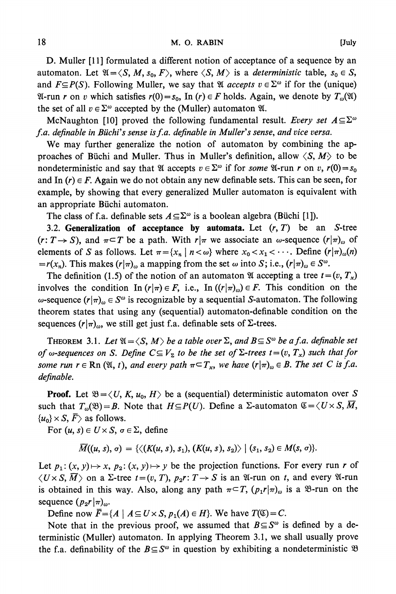**D. Muller [11] formulated a different notion of acceptance of a sequence by an**  automaton. Let  $\mathfrak{A} = \langle S, M, s_0, F \rangle$ , where  $\langle S, M \rangle$  is a *deterministic* table,  $s_0 \in S$ , and  $F \subseteq P(S)$ . Following Muller, we say that  $\mathfrak{A}$  *accepts*  $v \in \Sigma^{\omega}$  if for the (unique)  $\mathfrak{A}$ -run r on v which satisfies  $r(0) = s_0$ , In  $(r) \in F$  holds. Again, we denote by  $T_{\omega}(\mathfrak{A})$ the set of all  $v \in \Sigma^{\omega}$  accepted by the (Muller) automaton  $\mathfrak{A}$ .

McNaughton [10] proved the following fundamental result. Every set  $A \subseteq \Sigma^\omega$ **f.a. definable in Buichi's sense isf.a. definable in Muller's sense, and vice versa.** 

**We may further generalize the notion of automaton by combining the ap**proaches of Büchi and Muller. Thus in Muller's definition, allow  $\langle S, M \rangle$  to be **nondeterministic and say that**  $\mathcal{U}$  **accepts**  $v \in \Sigma^\omega$  **if for some**  $\mathcal{U}$ **-run r on v,**  $r(0) = s_0$ and In  $(r) \in F$ . Again we do not obtain any new definable sets. This can be seen, for **example, by showing that every generalized Muller automaton is equivalent with an appropriate Biichi automaton.** 

The class of f.a. definable sets  $A \subseteq \Sigma^\omega$  is a boolean algebra (Büchi [1]).

**3.2. Generalization of acceptance by automata. Let (r, T) be an S-tree**   $(r: T \rightarrow S)$ , and  $\pi \subset T$  be a path. With  $r | \pi$  we associate an  $\omega$ -sequence  $(r | \pi)_{\omega}$  of **elements of S** as follows. Let  $\pi = \{x_n \mid n < \omega\}$  where  $x_0 < x_1 < \cdots$ . Define  $(r | \pi)_{\omega}(n)$  $=r(x_n)$ . This makes  $(r|\pi)_{\omega}$  a mapping from the set  $\omega$  into S; i.e.,  $(r|\pi)_{\omega} \in S^{\omega}$ .

The definition (1.5) of the notion of an automaton **W** accepting a tree  $t = (v, T_x)$ involves the condition In  $(r|\pi) \in F$ , i.e., In  $((r|\pi)_\omega) \in F$ . This condition on the  $\omega$ -sequence  $(r|\pi)_{\omega} \in S^{\omega}$  is recognizable by a sequential S-automaton. The following **theorem states that using any (sequential) automaton-definable condition on the**  sequences  $(r|\pi)$ <sub>0</sub>, we still get just f.a. definable sets of  $\Sigma$ -trees.

**THEOREM** 3.1. Let  $\mathfrak{A} = \langle S, M \rangle$  be a table over  $\Sigma$ , and  $B \subseteq S^\omega$  be a f.a. definable set of w-sequences on S. Define  $C \subseteq V_{\Sigma}$  to be the set of  $\Sigma$ -trees  $t=(v, T_x)$  such that for **some run**  $r \in \text{Rn } (\mathfrak{A}, t)$ **, and every path**  $\pi \subset T_x$ **, we have**  $(r | \pi)_{\omega} \in B$ **. The set C is f.a. definable.** 

**Proof.** Let  $\mathfrak{B} = \langle U, K, u_0, H \rangle$  be a (sequential) deterministic automaton over S such that  $T_{\omega}(\mathfrak{B}) = B$ . Note that  $H \subseteq P(U)$ . Define a  $\Sigma$ -automaton  $\mathfrak{C} = \langle U \times S, \overline{M}, \rangle$  $\{u_0\} \times S$ ,  $\overline{F}$  as follows.

For  $(u, s) \in U \times S$ ,  $\sigma \in \Sigma$ , define

 $\overline{M}((u, s), \sigma) = \{ \langle (K(u, s), s_1), (K(u, s), s_2) \rangle \mid (s_1, s_2) \in M(s, \sigma) \}.$ 

Let  $p_1: (x, y) \mapsto x$ ,  $p_2: (x, y) \mapsto y$  be the projection functions. For every run r of  $\langle U \times S, \overline{M} \rangle$  on a  $\Sigma$ -tree  $t = (v, T), p_2r: T \to S$  is an  $\mathfrak{A}$ -run on t, and every  $\mathfrak{A}$ -run is obtained in this way. Also, along any path  $\pi \subset T$ ,  $(p_1 r | \pi)_\omega$  is a  $\mathcal{B}$ -run on the sequence  $(p_2r|\pi)_{\omega}$ .

**Define now**  $\overline{F} = \{A \mid A \subseteq U \times S, p_1(A) \in H\}$ **. We have**  $T(\mathfrak{C}) = C$ **.** 

Note that in the previous proof, we assumed that  $B \subseteq S^{\omega}$  is defined by a de**terministic (Muller) automaton. In applying Theorem 3.1, we shall usually prove**  the f.a. definability of the  $B \subseteq S^{\omega}$  in question by exhibiting a nondeterministic  $\mathfrak{B}$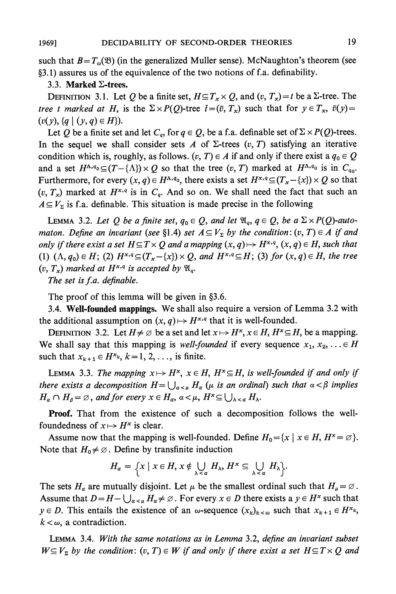such that  $B = T_{\omega}(\mathfrak{B})$  (in the generalized Muller sense). McNaughton's theorem (see **?3.1) assures us of the equivalence of the two notions of f.a. definability.** 

#### **3.3. Marked E-trees.**

**DEFINITION 3.1.** Let Q be a finite set,  $H \subseteq T_x \times Q$ , and  $(v, T_x) = t$  be a  $\Sigma$ -tree. The **tree t marked at H, is the**  $\Sigma \times P(Q)$ **-tree**  $\bar{t}=(\bar{v}, T_x)$  **such that for**  $y \in T_x$ **,**  $\bar{v}(y)=$  $(v(y), \{q \mid (y, q) \in H\}).$ 

Let Q be a finite set and let  $C_q$ , for  $q \in Q$ , be a f.a. definable set of  $\Sigma \times P(Q)$ -trees. In the sequel we shall consider sets  $A$  of  $\Sigma$ -trees  $(v, T)$  satisfying an iterative condition which is, roughly, as follows.  $(v, T) \in A$  if and only if there exist a  $q_0 \in Q$ and a set  $H^{\Lambda,q_0} \subseteq (T - {\Lambda}) \times Q$  so that the tree  $(v, T)$  marked at  $H^{\Lambda,q_0}$  is in  $C_{q_0}$ . Furthermore, for every  $(x, q) \in H^{\Lambda,q_0}$ , there exists a set  $H^{x,q} \subseteq (T_x - \{x\}) \times Q$  so that  $(v, T_x)$  marked at  $H^{x,q}$  is in  $C_q$ . And so on. We shall need the fact that such an  $A \subseteq V_{\Sigma}$  is f.a. definable. This situation is made precise in the following

**LEMMA** 3.2. Let Q be a finite set,  $q_0 \in Q$ , and let  $\mathfrak{A}_q$ ,  $q \in Q$ , be a  $\Sigma \times P(Q)$ -auto**maton.** Define an invariant (see §1.4) set  $A \subseteq V_{\Sigma}$  by the condition:  $(v, T) \in A$  if and **only if there exist a set**  $H \subseteq T \times Q$  **and a mapping**  $(x, q) \mapsto H^{x,q}, (x, q) \in H$ **, such that** (1)  $(\Lambda, q_0) \in H$ ; (2)  $H^{x,q} \subseteq (T_x - \{x\}) \times Q$ , and  $H^{x,q} \subseteq H$ ; (3) for  $(x, q) \in H$ , the tree  $(v, T_x)$  marked at  $H^{x,q}$  is accepted by  $\mathfrak{A}_q$ .

**The set is f.a. definable.** 

The proof of this lemma will be given in §3.6.

**3.4. Well-founded mappings. We shall also require a version of Lemma 3.2 with**  the additional assumption on  $(x, q) \mapsto H^{x,q}$  that it is well-founded.

**DEFINITION** 3.2. Let  $H \neq \emptyset$  be a set and let  $x \mapsto H^x$ ,  $x \in H$ ,  $H^x \subseteq H$ , be a mapping. We shall say that this mapping is well-founded if every sequence  $x_1, x_2, \ldots \in H$ such that  $x_{k+1} \in H^{x_k}$ ,  $k = 1, 2, \ldots$ , is finite.

**LEMMA** 3.3. The mapping  $x \mapsto H^x$ ,  $x \in H$ ,  $H^x \subseteq H$ , is well-founded if and only if **there exists a decomposition**  $H = \bigcup_{\alpha < \mu} H_\alpha$  **(** $\mu$  **is an ordinal) such that**  $\alpha < \beta$  **implies**  $H_{\alpha} \cap H_{\beta} = \emptyset$ , and for every  $x \in H_{\alpha}$ ,  $\alpha < \mu$ ,  $H^x \subseteq \bigcup_{\lambda < \alpha} H_{\lambda}$ .

**Proof. That from the existence of such a decomposition follows the wellfoundedness of**  $x \mapsto H^x$  is clear.

Assume now that the mapping is well-founded. Define  $H_0 = \{x \mid x \in H, H^* = \emptyset\}.$ Note that  $H_0 \neq \emptyset$ . Define by transfinite induction

$$
H_{\alpha} = \Big\{ x \mid x \in H, x \notin \bigcup_{\lambda < \alpha} H_{\lambda}, H^{\alpha} \subseteq \bigcup_{\lambda < \alpha} H_{\lambda} \Big\}.
$$

The sets  $H_\alpha$  are mutually disjoint. Let  $\mu$  be the smallest ordinal such that  $H_\mu = \emptyset$ . Assume that  $D = H - \bigcup_{\alpha < \mu} H_\alpha \neq \emptyset$ . For every  $x \in D$  there exists a  $y \in H^x$  such that  $y \in D$ . This entails the existence of an  $\omega$ -sequence  $(x_k)_{k \leq \omega}$  such that  $x_{k+1} \in H^{x_k}$ ,  $k < \omega$ , a contradiction.

**LEMMA 3.4. With the same notations as in Lemma 3.2, define an invariant subset**   $W \subseteq V$ <sub>2</sub> by the condition:  $(v, T) \in W$  if and only if there exist a set  $H \subseteq T \times Q$  and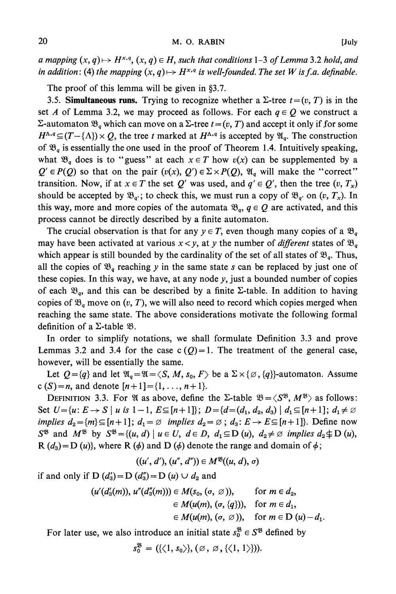**a** mapping  $(x, q) \mapsto H^{x,q}, (x, q) \in H$ , such that conditions 1-3 of Lemma 3.2 hold, and in addition: (4) the mapping  $(x, q) \mapsto H^{x,q}$  is well-founded. The set W is f.a. definable.

The proof of this lemma will be given in §3.7.

3.5. **Simultaneous runs.** Trying to recognize whether a  $\Sigma$ -tree  $t = (v, T)$  is in the set A of Lemma 3.2, we may proceed as follows. For each  $q \in Q$  we construct a  $\Sigma$ **-automaton**  $\mathfrak{B}_q$  **which can move on a**  $\Sigma$ **-tree**  $t = (v, T)$  **and accept it only if for some**  $H^{\Lambda,q} \subseteq (T - \{\Lambda\}) \times Q$ , the tree t marked at  $H^{\Lambda,q}$  is accepted by  $\mathfrak{A}_q$ . The construction of  $\mathfrak{B}_q$  is essentially the one used in the proof of Theorem 1.4. Intuitively speaking, what  $\mathfrak{B}_q$  does is to "guess" at each  $x \in T$  how  $v(x)$  can be supplemented by a  $Q' \in P(Q)$  so that on the pair  $(v(x), Q') \in \Sigma \times P(Q)$ ,  $\mathfrak{A}_q$  will make the "correct" **transition.** Now, if at  $x \in T$  the set Q' was used, and  $q' \in Q'$ , then the tree  $(v, T_x)$ should be accepted by  $\mathfrak{B}_{q'}$ ; to check this, we must run a copy of  $\mathfrak{B}_{q'}$  on  $(v, T_x)$ . In this way, more and more copies of the automata  $\mathcal{B}_{q}$ ,  $q \in Q$  are activated, and this **process cannot be directly described by a finite automaton.** 

The crucial observation is that for any  $y \in T$ , even though many copies of a  $\mathfrak{B}_q$ **may** have been activated at various  $x < y$ , at y the number of *different* states of  $\mathfrak{B}_q$ which appear is still bounded by the cardinality of the set of all states of  $\mathcal{B}_q$ . Thus, all the copies of  $\mathfrak{B}_q$  reaching y in the same state s can be replaced by just one of **these copies. In this way, we have, at any node y, just a bounded number of copies**  of each  $\mathfrak{B}_q$ , and this can be described by a finite  $\Sigma$ -table. In addition to having copies of  $\mathfrak{B}_q$  move on  $(v, T)$ , we will also need to record which copies merged when **reaching the same state. The above considerations motivate the following formal**  definition of a  $\Sigma$ -table  $\mathfrak{B}$ .

**In order to simplify notations, we shall formulate Definition 3.3 and prove**  Lemmas 3.2 and 3.4 for the case  $c(Q)=1$ . The treatment of the general case, **however, will be essentially the same.** 

Let  $Q = \{q\}$  and let  $\mathfrak{A}_q = \mathfrak{A} = \langle S, M, s_0, F \rangle$  be a  $\Sigma \times \{\emptyset, \{q\}\}$ -automaton. Assume **c** (S)=*n*, and denote  $[n+1] = \{1, ..., n+1\}$ .

**DEFINITION 3.3. For**  $\mathfrak{A}$  **as above, define the**  $\Sigma$ **-table**  $\mathfrak{B} = \langle S^{\mathfrak{B}}, M^{\mathfrak{B}} \rangle$  **as follows:** Set  $U = \{u: E \to S \mid u \text{ is } 1-1, E \subseteq [n+1] \}; D = \{d = (d_1, d_2, d_3) \mid d_1 \subseteq [n+1] \}; d_1 \neq \emptyset$ *implies*  $d_2 = \{m\} \subseteq [n+1]$ ;  $d_1 = \emptyset$  *implies*  $d_2 = \emptyset$ ;  $d_3: E \to E \subseteq [n+1]$ . Define now  $S^{\mathfrak{B}}$  and  $M^{\mathfrak{B}}$  by  $S^{\mathfrak{B}} = \{(u, d) \mid u \in U, d \in D, d_1 \subseteq D(u), d_2 \neq \emptyset \text{ implies } d_2 \not\subseteq D(u),$  $R(d_3)=D(u)$ , where  $R(\phi)$  and  $D(\phi)$  denote the range and domain of  $\phi$ ;

$$
((u', d'), (u'', d'')) \in M^{\mathfrak{B}}((u, d), \sigma)
$$

if and only if  $D(d'_3) = D(d''_3) = D(u) \cup d_2$  and

$$
(u'(d'_3(m)), u''(d''_3(m))) \in M(s_0, (\sigma, \varnothing)), \quad \text{for } m \in d_2, \in M(u(m), (\sigma, \{q\})), \quad \text{for } m \in d_1, \in M(u(m), (\sigma, \varnothing)), \quad \text{for } m \in D(u) - d_1.
$$

For later use, we also introduce an initial state  $s_0^{\mathcal{B}} \in S^{\mathcal{B}}$  defined by

 $s_0^{\mathfrak{B}} = (\{\langle 1, s_0 \rangle\}, \{\emptyset, \emptyset, \{\langle 1, 1 \rangle\}\}).$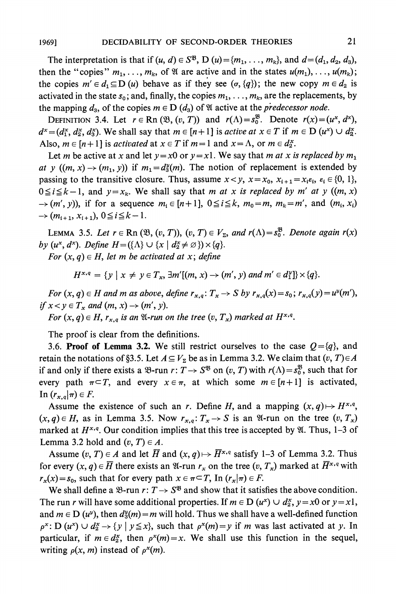The interpretation is that if  $(u, d) \in S^{\mathfrak{B}}$ ,  $D(u) = \{m_1, \ldots, m_k\}$ , and  $d = (d_1, d_2, d_3)$ , then the "copies"  $m_1, \ldots, m_k$ , of  $\mathfrak A$  are active and in the states  $u(m_1), \ldots, u(m_k)$ ; the copies  $m' \in d_1 \subseteq D$  (u) behave as if they see  $(\sigma, \{q\})$ ; the new copy  $m \in d_2$  is activated in the state  $s_0$ ; and, finally, the copies  $m_1, \ldots, m_k$ , are the replacements, by the mapping  $d_3$ , of the copies  $m \in D(d_3)$  of  $\mathfrak A$  active at the *predecessor node*.

**DEFINITION 3.4.** Let  $r \in \text{Rn}(\mathfrak{B}, (v, T))$  and  $r(\Lambda) = s_0^{\mathfrak{B}}$ . Denote  $r(x) = (u^x, d^x)$ ,  $d^x = (d_1^x, d_2^x, d_3^x)$ . We shall say that  $m \in [n+1]$  is active at  $x \in T$  if  $m \in D$   $(u^x) \cup d_2^x$ . Also,  $m \in [n+1]$  is *activated* at  $x \in T$  if  $m=1$  and  $x=\Lambda$ , or  $m \in d_2^x$ .

Let *m* be active at *x* and let  $y=x0$  or  $y=x1$ . We say that *m at x is replaced by*  $m_1$ at y  $((m, x) \rightarrow (m_1, y))$  if  $m_1 = d_3^y(m)$ . The notion of replacement is extended by **passing to the transitive closure. Thus, assume**  $x < y$ **,**  $x = x_0$ **,**  $x_{i+1} = x_i \varepsilon_i$ **,**  $\varepsilon_i \in \{0, 1\}$ **,**  $0 \le i \le k-1$ , and  $y = x_k$ . We shall say that *m at x is replaced by m' at y* ((*m, x*)  $\rightarrow$   $(m', y)$ ), if for a sequence  $m_i \in [n+1]$ ,  $0 \le i \le k$ ,  $m_0 = m$ ,  $m_k = m'$ , and  $(m_i, x_i)$  $\rightarrow$   $(m_{i+1}, x_{i+1}), 0 \le i \le k-1.$ 

**LEMMA** 3.5. Let  $r \in \text{Rn}(\mathfrak{B}, (v, T))$ ,  $(v, T) \in V_{\Sigma}$ , and  $r(\Lambda) = s_0^{\mathfrak{B}}$ . Denote again  $r(x)$ by  $(u^x, d^x)$ . Define  $H = (\{\Lambda\} \cup \{x \mid d^x \neq \emptyset\}) \times \{q\}.$ 

For  $(x, q) \in H$ , let m be activated at x; define

$$
H^{x,q} = \{y \mid x \neq y \in T_x, \exists m'[(m, x) \rightarrow (m', y) \text{ and } m' \in d_1^y\} \times \{q\}.
$$

For  $(x, q) \in H$  and m as above, define  $r_{x,q}: T_x \to S$  by  $r_{x,q}(x) = s_0$ ;  $r_{x,q}(y) = u^y(m')$ , if  $x < y \in T_x$  and  $(m, x) \rightarrow (m', y)$ .

For  $(x, q) \in H$ ,  $r_{x,q}$  is an  $\mathfrak{A}$ -run on the tree  $(v, T_x)$  marked at  $H^{x,q}$ .

**The proof is clear from the definitions.** 

**3.6. Proof of Lemma 3.2.** We still restrict ourselves to the case  $Q = \{q\}$ , and **retain the notations of §3.5. Let**  $A \subseteq V_\Sigma$  **be as in Lemma 3.2. We claim that**  $(v, T) \in A$ if and only if there exists a  $\mathcal{B}$ -run  $r: T \to S^{\mathcal{B}}$  on  $(v, T)$  with  $r(\Lambda) = s_0^{\mathcal{B}}$ , such that for **every** path  $\pi \subset T$ , and every  $x \in \pi$ , at which some  $m \in [n+1]$  is activated,  $\text{In } (r_{x,q}|\pi) \in F.$ 

Assume the existence of such an r. Define H, and a mapping  $(x, q) \mapsto H^{x,q}$ ,  $(x, q) \in H$ , as in Lemma 3.5. Now  $r_{x,q}: T_x \to S$  is an  $\mathfrak{A}$ -run on the tree  $(v, T_x)$ marked at  $H^{x,q}$ . Our condition implies that this tree is accepted by  $\mathfrak{A}$ . Thus, 1–3 of **Lemma 3.2 hold and**  $(v, T) \in A$ **.** 

Assume  $(v, T) \in A$  and let  $\overline{H}$  and  $(x, q) \mapsto \overline{H}^{x,q}$  satisfy 1-3 of Lemma 3.2. Thus for every  $(x, q) \in \overline{H}$  there exists an  $\mathfrak{A}$ -run  $r_x$  on the tree  $(v, T_x)$  marked at  $\overline{H}^{x,q}$  with  $r_x(x) = s_0$ , such that for every path  $x \in \pi \subset T$ , In  $(r_x|\pi) \in F$ .

We shall define a  $\mathcal{B}$ -run  $r: T \rightarrow S^{\mathcal{B}}$  and show that it satisfies the above condition. The run *r* will have some additional properties. If  $m \in D$  ( $u^x$ )  $\cup d^x_2$ ,  $y = x0$  or  $y = x1$ , and  $m \in D(u^y)$ , then  $d_3^y(m) = m$  will hold. Thus we shall have a well-defined function  $p^x$ : **D**  $(u^x) \cup d^x_2 \rightarrow \{y \mid y \leq x\}$ , such that  $p^x(m) = y$  if m was last activated at y. In particular, if  $m \in d_2^x$ , then  $p^x(m) = x$ . We shall use this function in the sequel, writing  $\rho(x, m)$  instead of  $\rho^x(m)$ .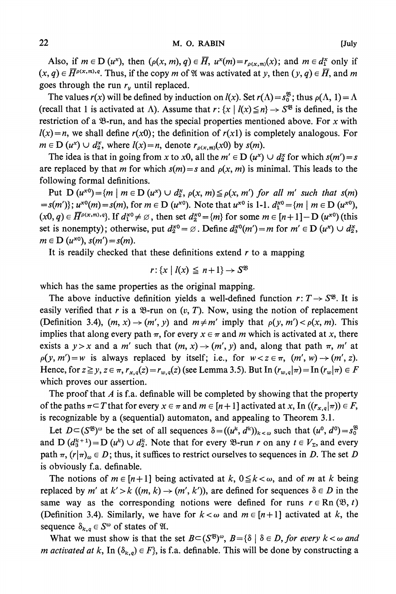Also, if  $m \in D$  ( $u^x$ ), then  $(\rho(x, m), q) \in \overline{H}$ ,  $u^x(m) = r_{\rho(x,m)}(x)$ ; and  $m \in d^x$  only if  $(x, q) \in \overline{H}^{p(x,m),q}$ . Thus, if the copy m of  $\mathfrak{A}$  was activated at y, then  $(y, q) \in \overline{H}$ , and m goes through the run  $r_y$  until replaced.

The values  $r(x)$  will be defined by induction on  $l(x)$ . Set  $r(\Lambda) = s_0^{\mathfrak{B}}$ ; thus  $\rho(\Lambda, 1) = \Lambda$ (recall that 1 is activated at  $\Lambda$ ). Assume that  $r: \{x \mid l(x) \leq n\} \to S^{\mathfrak{B}}$  is defined, is the restriction of a  $\mathcal{B}$ -run, and has the special properties mentioned above. For x with  $1(x)=n$ , we shall define  $r(x0)$ ; the definition of  $r(x1)$  is completely analogous. For  $m \in D$  ( $u^x$ )  $\cup d^x_2$ , where  $l(x) = n$ , denote  $r_{\rho(x,m)}(x_0)$  by  $s(m)$ .

The idea is that in going from x to x0, all the  $m' \in D$  ( $u^*$ )  $\cup d^*_2$  for which  $s(m') = s$ are replaced by that *m* for which  $s(m) = s$  and  $\rho(x, m)$  is minimal. This leads to the **following formal definitions.** 

**Put D**  $(u^{x0}) = \{m \mid m \in D \ (u^x) \cup d^x \}$ ,  $\rho(x, m) \leq \rho(x, m')$  for all m' such that  $s(m)$  $=s(m')$ ;  $u^{x0}(m) = s(m)$ , for  $m \in D$   $(u^{x0})$ . Note that  $u^{x0}$  is 1-1.  $d_1^{x0} = \{m \mid m \in D$   $(u^{x0})$ ,  $(x0, q) \in \overline{H}^{p(x,m), q}$ . If  $d_1^{x0} \neq \emptyset$ , then set  $d_2^{x0} = \{m\}$  for some  $m \in [n+1] - D$   $(u^{x0})$  (this set is nonempty); otherwise, put  $d_2^{x0} = \emptyset$ . Define  $d_3^{x0}(m') = m$  for  $m' \in D$   $(u^x) \cup d_2^x$ ,  $m \in D$   $(u^{x_0})$ ,  $s(m') = s(m)$ .

**It is readily checked that these definitions extend r to a mapping** 

$$
r: \{x \mid l(x) \leq n+1\} \to S^{\mathfrak{B}}
$$

**which has the same properties as the original mapping.** 

The above inductive definition yields a well-defined function  $r: T \rightarrow S^{8}$ . It is easily verified that r is a  $\mathcal{B}$ -run on  $(v, T)$ . Now, using the notion of replacement **(Definition 3.4),**  $(m, x) \rightarrow (m', y)$  and  $m \neq m'$  imply that  $\rho(y, m') < \rho(x, m)$ . This **implies that along every path**  $\pi$ **, for every**  $x \in \pi$  **and m which is activated at x, there exists a**  $y > x$  and a m' such that  $(m, x) \rightarrow (m', y)$  and, along that path  $\pi$ , m' at  $p(y, m') = w$  is always replaced by itself; i.e., for  $w < z \in \pi$ ,  $(m', w) \rightarrow (m', z)$ . **Hence, for**  $z \ge y$ ,  $z \in \pi$ ,  $r_{x,q}(z) = r_{w,q}(z)$  (see Lemma 3.5). But In  $(r_{w,q}|\pi) = \text{In } (r_w|\pi) \in F$ **which proves our assertion.** 

**The proof that A is f.a. definable will be completed by showing that the property of the paths**  $\pi \subset T$  **that for every**  $x \in \pi$  **and**  $m \in [n+1]$  **activated at x, In**  $((r_{x,q}|\pi)) \in F$ **, is recognizable by a (sequential) automaton, and appealing to Theorem 3.1.** 

Let  $D \subset (\mathbb{S}^{\mathfrak{B}})^{\omega}$  be the set of all sequences  $\delta = ((u^k, d^k))_{k < \omega}$  such that  $(u^0, d^0) = s_0^{\mathfrak{B}}$ and  $D(d_3^{k+1}) = D(u^k) \cup d_2^k$ . Note that for every  $\mathcal{B}$ -run r on any  $t \in V_{\Sigma}$ , and every path  $\pi$ ,  $(r|\pi)_{\omega} \in D$ ; thus, it suffices to restrict ourselves to sequences in D. The set D **is obviously f.a. definable.** 

The notions of  $m \in [n+1]$  being activated at  $k$ ,  $0 \le k < \omega$ , and of m at k being **replaced by m'** at  $k' > k$   $((m, k) \rightarrow (m', k'))$ , are defined for sequences  $\delta \in D$  in the same way as the corresponding notions were defined for runs  $r \in \text{Rn}(\mathfrak{B}, t)$ **(Definition 3.4). Similarly, we have for**  $k < \omega$  **and**  $m \in [n+1]$  **activated at k, the sequence**  $\delta_{k,q} \in S^{\omega}$  of states of  $\mathfrak{A}$ .

What we must show is that the set  $B \subset (S^{\mathfrak{B}})^{\omega}$ ,  $B = {\delta | \delta \in D}$ , for every  $k < \omega$  and *m activated at k*, In  $(\delta_{k,q}) \in F$ , is f.a. definable. This will be done by constructing a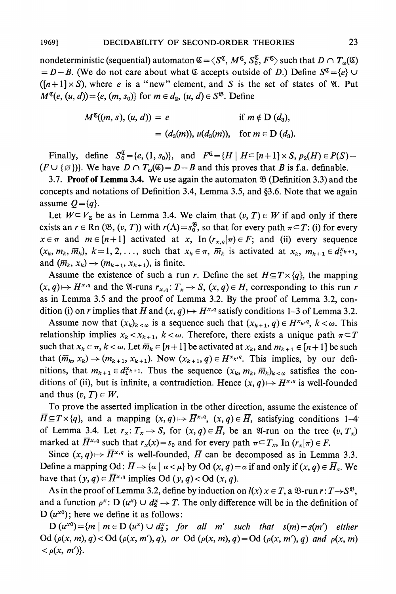**nondeterministic (sequential) automaton**  $\mathfrak{C} = \langle S^{\mathfrak{C}}, M^{\mathfrak{C}}, S_0^{\mathfrak{C}}, F^{\mathfrak{C}} \rangle$  **such that**  $D \cap T_{\omega}(\mathfrak{C})$  $= D - B$ . (We do not care about what  $\mathfrak{C}$  accepts outside of D.) Define  $S^{\mathfrak{C}} = \{e\} \cup$  $([n+1] \times S)$ , where *e* is a "new" element, and *S* is the set of states of  $\mathfrak{A}$ . Put  $M^{\mathfrak{C}}(e, (u, d)) = \{e, (m, s_0)\}\$ for  $m \in d_2$ ,  $(u, d) \in S^{\mathfrak{B}}$ . Define

$$
M^{\mathfrak{S}}((m, s), (u, d)) = e \qquad \text{if } m \notin D \ (d_3),
$$
  
=  $(d_3(m)), u(d_3(m)), \text{ for } m \in D \ (d_3).$ 

**Finally, define**  $S_0^{\mathfrak{C}} = \{e, (1, s_0)\},\$  **and**  $F^{\mathfrak{C}} = \{H \mid H \subset [n+1] \times S, p_2(H) \in P(S) - \}$  $(F \cup \{\emptyset\})$ . We have  $D \cap T_{\omega}(\mathfrak{C}) = D - B$  and this proves that B is f.a. definable.

**3.7. Proof of Lemma 3.4.** We use again the automaton  $\mathfrak{B}$  (Definition 3.3) and the concepts and notations of Definition 3.4, Lemma 3.5, and §3.6. Note that we again assume  $Q = \{q\}$ .

Let  $W \subset V_{\Sigma}$  be as in Lemma 3.4. We claim that  $(v, T) \in W$  if and only if there **exists an**  $r \in \text{Rn } (\mathfrak{B}, (v, T))$  **with**  $r(\Lambda) = s_0^{\mathfrak{B}}$ **, so that for every path**  $\pi \subset T$ **: (i) for every**  $x \in \pi$  and  $m \in [n+1]$  activated at x, In  $(r_{x,q}|\pi) \in F$ ; and (ii) every sequence  $(x_k, m_k, \overline{m}_k)$ ,  $k = 1, 2, \ldots$ , such that  $x_k \in \pi$ ,  $\overline{m}_k$  is activated at  $x_k$ ,  $m_{k+1} \in d_{1}^{x_{k+1}}$ , and  $(\overline{m}_k, x_k) \rightarrow (m_{k+1}, x_{k+1})$ , is finite.

Assume the existence of such a run r. Define the set  $H \subseteq T \times \{q\}$ , the mapping  $(x, q) \mapsto H^{x,q}$  and the  $\mathfrak{A}$ -runs  $r_{x,q}: T_x \to S$ ,  $(x, q) \in H$ , corresponding to this run r **as in Lemma 3.5 and the proof of Lemma 3.2. By the proof of Lemma 3.2, con**dition (i) on r implies that H and  $(x, q) \mapsto H^{x,q}$  satisfy conditions 1-3 of Lemma 3.2.

Assume now that  $(x_k)_{k \leq \omega}$  is a sequence such that  $(x_{k+1}, q) \in H^{x_k, q}, k < \omega$ . This **relationship implies**  $x_k < x_{k+1}$ ,  $k < \omega$ . Therefore, there exists a unique path  $\pi \subset T$ such that  $x_k \in \pi$ ,  $k < \omega$ . Let  $\overline{m}_k \in [n+1]$  be activated at  $x_k$ , and  $m_{k+1} \in [n+1]$  be such that  $(\overline{m}_k, x_k) \rightarrow (m_{k+1}, x_{k+1})$ . Now  $(x_{k+1}, q) \in H^{x_k,q}$ . This implies, by our definitions, that  $m_{k+1} \in d_{1}^{x_{k+1}}$ . Thus the sequence  $(x_k, m_k, \overline{m}_k)_{k \leq \omega}$  satisfies the conditions of (ii), but is infinite, a contradiction. Hence  $(x, q) \mapsto H^{x,q}$  is well-founded and thus  $(v, T) \in W$ .

**To prove the asserted implication in the other direction, assume the existence of**   $\overline{H} \subseteq T \times \{q\}$ , and a mapping  $(x, q) \mapsto \overline{H}^{x,q}$ ,  $(x, q) \in \overline{H}$ , satisfying conditions 1-4 of Lemma 3.4. Let  $r_x: T_x \to S$ , for  $(x, q) \in \overline{H}$ , be an  $\mathcal{U}$ -run on the tree  $(v, T_x)$ **marked at** *H***<sub>x</sub>,** *q***</del> such that**  $r_x(x) = s_0$  **and for every path**  $\pi \subset T_x$ **, In**  $(r_x|\pi) \in F$ **.** 

Since  $(x, q) \mapsto \overline{H}^{x,q}$  is well-founded,  $\overline{H}$  can be decomposed as in Lemma 3.3. **Define a mapping Od:**  $\overline{H} \rightarrow {\alpha \mid \alpha < \mu}$  by Od  $(x, q) = \alpha$  if and only if  $(x, q) \in \overline{H}_{\alpha}$ . We have that  $(y, q) \in \overline{H}^{x,q}$  implies Od  $(y, q) <$  Od  $(x, q)$ .

As in the proof of Lemma 3.2, define by induction on  $I(x)$   $x \in T$ , a  $\mathcal{B}$ -run  $r: T \rightarrow S^{\mathcal{B}}$ , and a function  $\rho^x$ :  $D(u^x) \cup d^x \rightarrow T$ . The only difference will be in the definition of  $D(u^{x0})$ ; here we define it as follows:

 $D (u^{x0}) = {m | m \in D (u^x) \cup d^x}$ ; for all *m'* such that  $s(m) = s(m')$  either  $\text{Od}(\rho(x, m), q) < \text{Od}(\rho(x, m'), q), \text{ or } \text{Od}(\rho(x, m), q) = \text{Od}(\rho(x, m'), q) \text{ and } \rho(x, m)$  $\langle \rho(x, m') \rangle$ .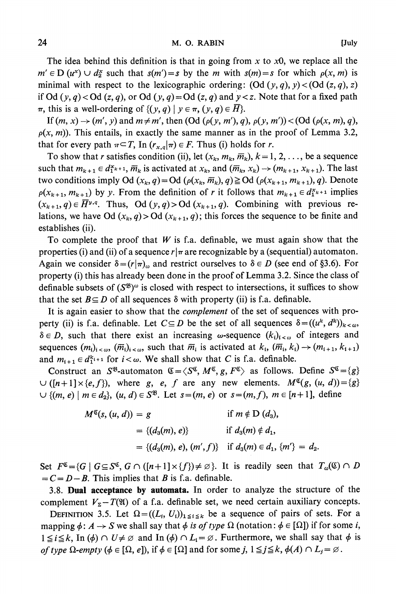**The idea behind this definition is that in going from x to xO, we replace all the**   $m' \in D$   $(u^x) \cup d^x$  such that  $s(m') = s$  by the m with  $s(m) = s$  for which  $\rho(x, m)$  is minimal with respect to the lexicographic ordering:  $(\text{Od } (y, q), y) < (\text{Od } (z, q), z)$ if Od  $(y, q) <$ Od  $(z, q)$ , or Od  $(y, q) =$ Od  $(z, q)$  and  $y < z$ . Note that for a fixed path  $\pi$ , this is a well-ordering of  $\{(y, q) | y \in \pi, (y, q) \in \overline{H}\}.$ 

If  $(m, x) \rightarrow (m', y)$  and  $m \neq m'$ , then  $(\text{Od }(\rho(y, m'), q), \rho(y, m')) < (\text{Od }(\rho(x, m), q),$  $p(x, m)$ ). This entails, in exactly the same manner as in the proof of Lemma 3.2, **that for every path**  $\pi \subseteq T$ , In  $(r_{x,q}|\pi) \in F$ . Thus (i) holds for r.

To show that r satisfies condition (ii), let  $(x_k, m_k, \overline{m}_k)$ ,  $k = 1, 2, \ldots$ , be a sequence such that  $m_{k+1} \in d_{1}^{x_{k+1}}, \overline{m}_{k}$  is activated at  $x_{k}$ , and  $(\overline{m}_{k}, x_{k}) \rightarrow (m_{k+1}, x_{k+1})$ . The last  $\tan \theta$  **two conditions imply Od**  $(x_k, q) = \text{Od}(p(x_k, \overline{m}_k), q) \geq \text{Od}(p(x_{k+1}, m_{k+1}), q)$ . Denote  $p(x_{k+1}, m_{k+1})$  by y. From the definition of r it follows that  $m_{k+1} \in d_{1}^{x_{k+1}}$  implies  $(x_{k+1}, q) \in \overline{H}^{y,q}$ . Thus, Od  $(y, q) >$  Od  $(x_{k+1}, q)$ . Combining with previous relations, we have Od  $(x_k, q) >$  Od  $(x_{k+1}, q)$ ; this forces the sequence to be finite and **establishes (ii).** 

**To complete the proof that W is f.a. definable, we must again show that the**  properties (i) and (ii) of a sequence  $r/\pi$  are recognizable by a (sequential) automaton. Again we consider  $\delta = (r|\pi)_{\omega}$  and restrict ourselves to  $\delta \in D$  (see end of §3.6). For **property (i) this has already been done in the proof of Lemma 3.2. Since the class of**  definable subsets of  $(S^{\mathfrak{B}})^\omega$  is closed with respect to intersections, it suffices to show that the set  $B \subseteq D$  of all sequences  $\delta$  with property (ii) is f.a. definable.

**It is again easier to show that the complement of the set of sequences with property** (ii) is f.a. definable. Let  $C \subseteq D$  be the set of all sequences  $\delta = ((u^k, d^k))_{k \leq \alpha}$  $\delta \in D$ , such that there exist an increasing  $\omega$ -sequence  $(k_i)_{i \leq \omega}$  of integers and sequences  $(m_i)_{i < \omega}, \overline{(m_i)}_{i < \omega}$ , such that  $\overline{m}_i$  is activated at  $k_i$ ,  $(\overline{m}_i, k_i) \rightarrow (m_{i+1}, k_{i+1})$ and  $m_{i+1} \in d_1^{k_{i+1}}$  for  $i < \omega$ . We shall show that C is f.a. definable.

**Construct an S<sup>8</sup>-automaton**  $\mathfrak{C} = \langle S^{\mathfrak{C}}, M^{\mathfrak{C}}, g, F^{\mathfrak{C}} \rangle$  **as follows. Define**  $S^{\mathfrak{C}} = \{g\}$  $\cup$  ([n+1]  $\times$  {e, f}), where g, e, f are any new elements.  $M^{\mathfrak{g}}(g, (u, d)) = \{g\}$  $∪$ { $(m, e)$  |  $m ∈ d_2$ },  $(u, d) ∈ S^{\mathfrak{B}}$ . Let  $s = (m, e)$  or  $s = (m, f)$ ,  $m ∈ [n + 1]$ , define

$$
M^{\mathfrak{C}}(s, (u, d)) = g \qquad \text{if } m \notin D \ (d_3),
$$
  
= { $(d_3(m), e)$ } \qquad \text{if } d\_3(m) \notin d\_1,  
= { $(d_3(m), e), (m', f)$ } \qquad \text{if } d\_3(m) \in d\_1, {m'} = d\_2.

Set  $F^{\mathfrak{C}} = \{G \mid G \subseteq S^{\mathfrak{C}}, G \cap ([n+1] \times \{f\}) \neq \emptyset\}$ . It is readily seen that  $T_{\omega}(\mathfrak{C}) \cap D$  $= C = D - B$ . This implies that B is f.a. definable.

**3.8. Dual acceptance by automata. In order to analyze the structure of the**  complement  $V_{\Sigma} - T(\mathfrak{A})$  of a f.a. definable set, we need certain auxiliary concepts.

**DEFINITION** 3.5. Let  $\Omega = ((L_i, U_i))_{1 \le i \le k}$  be a sequence of pairs of sets. For a **mapping**  $\phi: A \rightarrow S$  **we shall say that**  $\phi$  **is of type**  $\Omega$  **(notation:**  $\phi \in [\Omega]$ **) if for some i,**  $1 \leq i \leq k$ , In ( $\phi$ )  $\cap$   $U \neq \emptyset$  and In ( $\phi$ )  $\cap$   $L_i = \emptyset$ . Furthermore, we shall say that  $\phi$  is of type  $\Omega$ -empty ( $\phi \in [\Omega, e]$ ), if  $\phi \in [\Omega]$  and for some j,  $1 \leq j \leq k$ ,  $\phi(A) \cap L_j = \emptyset$ .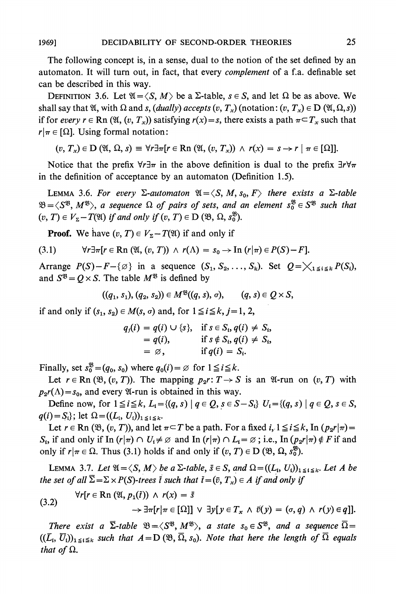**The following concept is, in a sense, dual to the notion of the set defined by an automaton. It will turn out, in fact, that every complement of a f.a. definable set can be described in this way.** 

**DEFINITION** 3.6. Let  $\mathfrak{A} = \langle S, M \rangle$  be a  $\Sigma$ -table,  $s \in S$ , and let  $\Omega$  be as above. We shall say that  $\mathfrak{A}$ , with  $\Omega$  and s, (dually) accepts  $(v, T_x)$  (notation:  $(v, T_x) \in D(\mathfrak{A}, \Omega, s)$ ) if for every  $r \in \text{Rn } (\mathfrak{A}, (v, T_x))$  satisfying  $r(x) = s$ , there exists a path  $\pi \subset T_x$  such that  $r|\pi \in [\Omega]$ . Using formal notation:

$$
(v, T_x) \in D(\mathfrak{A}, \Omega, s) \equiv \forall r \exists \pi [r \in \mathbb{R} \cap (\mathfrak{A}, (v, T_x)) \wedge r(x) = s \rightarrow r \mid \pi \in [\Omega]].
$$

Notice that the prefix  $\forall r \exists \pi$  in the above definition is dual to the prefix  $\exists r \forall \pi$ **in the definition of acceptance by an automaton (Definition 1.5).** 

**LEMMA 3.6. For every**  $\Sigma$ **-automaton**  $\mathfrak{A} = \langle S, M, s_0, F \rangle$  **there exists a**  $\Sigma$ **-table**  $\mathfrak{B} = \langle S^{\mathfrak{B}}, M^{\mathfrak{B}} \rangle$ , a sequence  $\Omega$  of pairs of sets, and an element  $s_0^{\mathfrak{B}} \in S^{\mathfrak{B}}$  such that  $(v, T) \in V_{\Sigma} - T(\mathfrak{A})$  if and only if  $(v, T) \in D(\mathfrak{B}, \Omega, s_0^{\mathfrak{B}})$ .

**Proof.** We have  $(v, T) \in V_{\Sigma} - T(\mathfrak{A})$  if and only if

$$
(3.1) \quad \forall r \exists \pi [r \in \mathbb{R} \mathbf{n} \ (\mathfrak{A}, (v, T)) \ \wedge \ r(\Lambda) = s_0 \rightarrow \mathbf{In} \ (r | \pi) \in P(S) - F].
$$

Arrange  $P(S)-F-\{\emptyset\}$  in a sequence  $(S_1, S_2, \ldots, S_k)$ . Set  $Q=\bigtimes_{1\leq i\leq k}P(S_i)$ , and  $S^{\mathfrak{B}} = Q \times S$ . The table  $M^{\mathfrak{B}}$  is defined by

$$
((q_1, s_1), (q_2, s_2)) \in M^{\mathfrak{B}}((q, s), \sigma), \qquad (q, s) \in Q \times S,
$$

if and only if  $(s_1, s_2) \in M(s, \sigma)$  and, for  $1 \le i \le k, j = 1, 2$ ,

$$
q_j(i) = q(i) \cup \{s\}, \quad \text{if } s \in S_i, q(i) \neq S_i, = q(i), \quad \text{if } s \notin S_i, q(i) \neq S_i, = \varnothing, \quad \text{if } q(i) = S_i.
$$

**Finally, set**  $s_0^{\mathfrak{B}} = (q_0, s_0)$  where  $q_0(i) = \emptyset$  for  $1 \leq i \leq k$ .

Let  $r \in \text{Rn }(\mathfrak{B}, (v, T))$ . The mapping  $p_2r: T \to S$  is an  $\mathfrak{A}$ -run on  $(v, T)$  with  $p_2r(\Lambda) = s_0$ , and every  $\mathfrak{A}$ -run is obtained in this way.

**Define now, for**  $1 \le i \le k$ **,**  $L_i = \{(q, s) | q \in Q, s \in S - S_i\}$  $U_i = \{(q, s) | q \in Q, s \in S,$  $q(i) = S_i$ ; let  $\Omega = ((L_i, U_i))_{1 \le i \le k}$ .

Let  $r \in \text{Rn } (\mathfrak{B}, (v, T))$ , and let  $\pi \subset T$  be a path. For a fixed  $i, 1 \leq i \leq k$ , In  $(p_2 r | \pi) =$  $S_i$ , if and only if In  $(r|\pi) \cap U_i \neq \emptyset$  and In  $(r|\pi) \cap L_i = \emptyset$ ; i.e., In  $(p_2r|\pi) \notin F$  if and **only if**  $r|\pi \in \Omega$ . Thus (3.1) holds if and only if  $(v, T) \in D \ (\mathfrak{B}, \Omega, s_0^{\mathfrak{B}}).$ 

**LEMMA** 3.7. Let  $\mathfrak{A} = \langle S, M \rangle$  be a  $\Sigma$ -table,  $\overline{s} \in S$ , and  $\Omega = ((L_i, U_i))_{1 \leq i \leq k}$ . Let A be the set of all  $\overline{\Sigma} = \Sigma \times P(S)$ -trees *i* such that  $\overline{t} = (\overline{v}, T_x) \in A$  if and only if

(3.2) 
$$
\forall r[r \in \mathbb{R}\text{ n } (\mathfrak{A}, p_1(\tilde{t})) \wedge r(x) = \bar{s} \\ \rightarrow \exists \pi[r|\pi \in [\Omega]] \vee \exists y[y \in T_x \wedge \bar{v}(y) = (\sigma, q) \wedge r(y) \in q]].
$$

**There exist a**  $\overline{\Sigma}$ **-table**  $\mathfrak{B} = \langle S^{\mathfrak{B}}, M^{\mathfrak{B}} \rangle$ **, a state**  $s_0 \in S^{\mathfrak{B}}$ **, and a sequence**  $\overline{\Omega} =$  $((\overline{L}_i, \overline{U}_i))_{1 \leq i \leq k}$  such that  $A = D(\mathfrak{B}, \overline{\Omega}, s_0)$ . Note that here the length of  $\overline{\Omega}$  equals *that of*  $\Omega$ *.*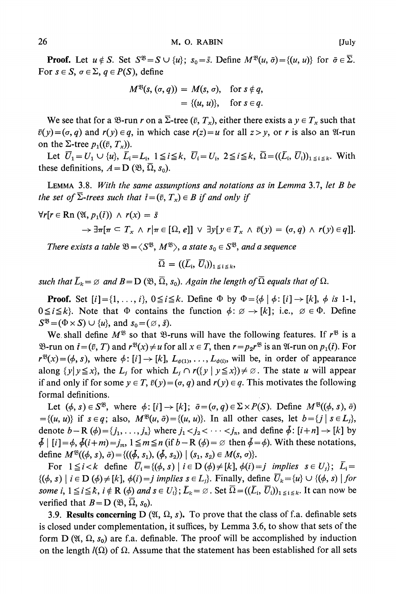**Proof.** Let  $u \notin S$ . Set  $S^{\mathfrak{B}} = S \cup \{u\}$ ;  $s_0 = \overline{s}$ . Define  $M^{\mathfrak{B}}(u, \overline{\sigma}) = \{(u, u)\}$  for  $\overline{\sigma} \in \overline{\Sigma}$ . For  $s \in S$ ,  $\sigma \in \Sigma$ ,  $q \in P(S)$ , define

$$
M^{\mathfrak{B}}(s, (\sigma, q)) = M(s, \sigma), \text{ for } s \notin q,
$$
  
= {(u, u)}, for  $s \in q$ .

We see that for a  $\mathcal{B}$ -run r on a  $\overline{\Sigma}$ -tree ( $\overline{v}$ ,  $T_x$ ), either there exists a  $y \in T_x$  such that  $\bar{v}(y) = (\sigma, q)$  and  $r(y) \in q$ , in which case  $r(z) = u$  for all  $z > y$ , or r is also an  $\mathfrak{A}$ -run on the  $\Sigma$ -tree  $p_1((\bar{v}, T_x))$ .

Let  $\overline{U}_1=U_1\cup \{u\}, \ \overline{L}_i=L_i, \ 1\leq i\leq k, \ \overline{U}_i=U_i, \ 2\leq i\leq k, \ \overline{\Omega}=((\overline{L}_i, \ \overline{U}_i))_{1\leq i\leq k}$ . With **these definitions,**  $A = D$  ( $\mathfrak{B}, \overline{\Omega}, s_0$ ).

**LEMMA 3.8. With the same assumptions and notations as in Lemma 3.7, let B be**  the set of  $\overline{\Sigma}$ -trees such that  $\overline{t} = (\overline{v}, T_x) \in B$  if and only if

$$
\forall r[r \in \mathbf{Rn} \ (\mathfrak{A}, p_1(\tilde{t})) \ \land \ r(x) = \tilde{s} \\
\rightarrow \exists \pi[\pi \subseteq T_x \ \land \ r|\pi \in [\Omega, e]] \ \lor \ \exists y[\, y \in T_x \ \land \ \tilde{v}(y) = (\sigma, q) \ \land \ r(y) \in q]].
$$

There exists a table  $\mathfrak{B} = \langle S^{\mathfrak{B}}, M^{\mathfrak{B}} \rangle$ , a state  $s_0 \in S^{\mathfrak{B}}$ , and a sequence

$$
\overline{\Omega} = ((\overline{L}_i, \overline{U}_i))_{1 \leq i \leq k},
$$

such that  $\bar{L}_k = \emptyset$  and  $B = D(\mathfrak{B}, \overline{\Omega}, s_0)$ . Again the length of  $\overline{\Omega}$  equals that of  $\Omega$ .

**Proof.** Set  $[i] = \{1, \ldots, i\}$ ,  $0 \leq i \leq k$ . Define  $\Phi$  by  $\Phi = \{\phi \mid \phi : [i] \rightarrow [k], \phi \text{ is } 1-1,$  $0 \le i \le k$ . Note that  $\Phi$  contains the function  $\phi : \emptyset \to [k]$ ; i.e.,  $\emptyset \in \Phi$ . Define  $S^{\mathfrak{B}} = (\Phi \times S) \cup \{u\}$ , and  $s_0 = (\emptyset, \overline{s})$ .

We shall define  $M^{\mathfrak{B}}$  so that  $\mathfrak{B}$ -runs will have the following features. If  $r^{\mathfrak{B}}$  is a  $\mathfrak{B}$ -run on  $\bar{t} = (\bar{v}, T)$  and  $r^{\mathfrak{B}}(x) \neq u$  for all  $x \in T$ , then  $r = p_2 r^{\mathfrak{B}}$  is an  $\mathfrak{A}$ -run on  $p_1(\bar{t})$ . For  $r^{\mathfrak{B}}(x) = (\phi, s)$ , where  $\phi: [i] \rightarrow [k]$ ,  $L_{\phi(1)}, \ldots, L_{\phi(i)}$ , will be, in order of appearance **along**  $\{y | y \leq x\}$ , the  $L_i$  for which  $L_i \cap r(\{y | y \leq x\}) \neq \emptyset$ . The state u will appear **if and only if for some**  $y \in T$ **,**  $\bar{v}(y) = (\sigma, q)$  **and**  $r(y) \in q$ **. This motivates the following formal definitions.** 

Let  $(\phi, s) \in S^{\mathfrak{B}}$ , where  $\phi : [i] \rightarrow [k]$ ;  $\bar{\sigma} = (\sigma, q) \in \Sigma \times P(S)$ . Define  $M^{\mathfrak{B}}((\phi, s), \bar{\sigma})$  $=\{(u, u)\}\$ if  $s \in q$ ; also,  $M^{\mathfrak{B}}(u, \bar{\sigma}) = \{(u, u)\}\$ . In all other cases, let  $b = \{j \mid s \in L_j\}$ , **denote**  $b - R$  ( $\phi$ ) = { $j_1, \ldots, j_n$ } where  $j_1 < j_2 < \cdots < j_n$ , and define  $\bar{\phi}$ : [ $i+n$ ]  $\rightarrow$  [k] by  $\oint$  | [i]= $\phi$ ,  $\oint$ (i+m)=j<sub>m</sub>,  $1 \le m \le n$  (if  $b-R$  ( $\phi$ )=  $\emptyset$  then  $\bar{\phi} = \phi$ ). With these notations, **define**  $M^{8}((\phi, s), \bar{\sigma}) = \{((\phi, s_1), (\phi, s_2)) | (s_1, s_2) \in M(s, \sigma)\}.$ 

For  $1 \le i < k$  define  $\overline{U}_i = \{(\phi, s) \mid i \in D(\phi) \ne [k], \phi(i) = j \implies s \in U_j\};$   $\overline{L}_i =$  $\{( \phi, s) \mid i \in D \left( \phi \right) \neq [k], \phi(i) = j \text{ implies } s \in L_j \}.$  Finally, define  $\overline{U}_k = \{u\} \cup \{(\phi, s) \mid \text{for } s \in L_j\}.$ **some i,**  $1 \leq i \leq k$ ,  $i \notin \mathbb{R}$  ( $\phi$ ) and  $s \in U_i$ ;  $\overline{L}_k = \emptyset$ . Set  $\overline{\Omega} = ((\overline{L}_i, \overline{U}_i))_{1 \leq i \leq k}$ . It can now be verified that  $B = D(\mathfrak{B}, \overline{\Omega}, s_0)$ .

**3.9. Results concerning D** ( $\mathfrak{A}, \Omega, s$ ). To prove that the class of f.a. definable sets **is closed under complementation, it suffices, by Lemma 3.6, to show that sets of the**  form  $D(\mathfrak{A}, \Omega, s_0)$  are f.a. definable. The proof will be accomplished by induction on the length  $I(\Omega)$  of  $\Omega$ . Assume that the statement has been established for all sets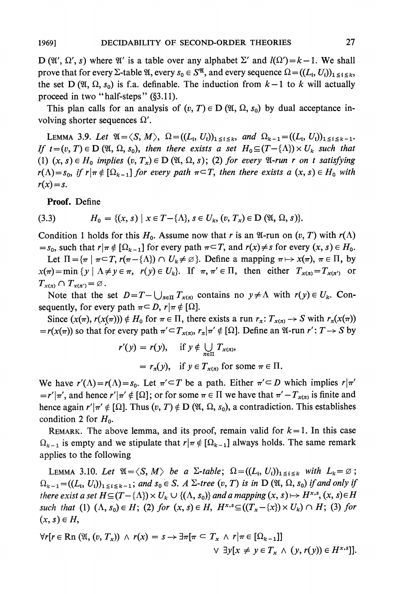**D** ( $\mathfrak{A}'$ ,  $\Omega'$ , *s*) where  $\mathfrak{A}'$  is a table over any alphabet  $\Sigma'$  and  $l(\Omega') = k - 1$ . We shall **prove that for every**  $\Sigma$ **-table**  $\mathfrak{A}$ **, every**  $s_0 \in S^{\mathfrak{A}}$ **, and every sequence**  $\Omega = ((L_i, U_i))_{1 \leq i \leq k}$ **,** the set D ( $\mathfrak{A}, \Omega, s_0$ ) is f.a. definable. The induction from  $k-1$  to k will actually proceed in two "half-steps" (§3.11).

This plan calls for an analysis of  $(v, T) \in D(\mathfrak{A}, \Omega, s_0)$  by dual acceptance involving shorter sequences  $\Omega'$ .

**LEMMA** 3.9. Let  $\mathfrak{A} = \langle S, M \rangle$ ,  $\Omega = ((L_i, U_i))_{1 \leq i \leq k}$ , and  $\Omega_{k-1} = ((L_i, U_i))_{1 \leq i \leq k-1}$ . If  $t = (v, T) \in D(\mathfrak{A}, \Omega, s_0)$ , then there exists a set  $H_0 \subseteq (T - \{\Lambda\}) \times U_k$  such that (1)  $(x, s) \in H_0$  implies  $(v, T_x) \in D(\mathfrak{A}, \Omega, s)$ ; (2) for every  $\mathfrak{A}$ -run r on t satisfying  $r(\Lambda) = s_0$ , if  $r | \pi \notin [\Omega_{k-1}]$  for every path  $\pi \subseteq T$ , then there exists a  $(x, s) \in H_0$  with  $r(x) = s$ .

**Proof. Define** 

(3.3) 
$$
H_0 = \{(x, s) \mid x \in T - \{\Lambda\}, s \in U_k, (v, T_x) \in D \ (\mathfrak{A}, \Omega, s) \}.
$$

Condition 1 holds for this  $H_0$ . Assume now that r is an  $\mathfrak{A}$ -run on  $(v, T)$  with  $r(\Lambda)$  $=s_0$ , such that  $r|\pi \notin [\Omega_{k-1}]$  for every path  $\pi \subseteq T$ , and  $r(x) \neq s$  for every  $(x, s) \in H_0$ .

Let  $\Pi = {\pi \mid \pi \subseteq T, r(\pi - {\Lambda}) \cap U_k \neq \emptyset}$ . Define a mapping  $\pi \mapsto x(\pi), \pi \in \Pi$ , by  $x(\pi) = \min \{y \mid \Lambda \neq y \in \pi, \ r(y) \in U_k\}.$  If  $\pi, \pi' \in \Pi$ , then either  $T_{x(\pi)} = T_{x(\pi')}$  or  $T_{\mathbf{x}(\pi)} \cap T_{\mathbf{x}(\pi')} = \emptyset.$ 

Note that the set  $D = T - \bigcup_{\pi \in \Pi} T_{x(\pi)}$  contains no  $y \neq \Lambda$  with  $r(y) \in U_k$ . Con**sequently, for every path**  $\pi \subset D$ **,**  $r | \pi \notin [\Omega]$ **.** 

Since  $(x(\pi), r(x(\pi))) \notin H_0$  for  $\pi \in \Pi$ , there exists a run  $r_{\pi}: T_{x(\pi)} \to S$  with  $r_{\pi}(x(\pi))$  $= r(x(\pi))$  so that for every path  $\pi' \subset T_{x(\pi)}, r_{\pi} | \pi' \notin [\Omega]$ . Define an  $\mathfrak{A}$ -run  $r': T \to S$  by

$$
r'(y) = r(y), \quad \text{if } y \notin \bigcup_{n \in \Pi} T_{x(\pi)},
$$
  
=  $r_{\pi}(y), \quad \text{if } y \in T_{x(\pi)} \text{ for some } \pi \in \Pi.$ 

We have  $r'(\Lambda) = r(\Lambda) = s_0$ . Let  $\pi' \subset T$  be a path. Either  $\pi' \subset D$  which implies  $r|\pi'$  $= r'|\pi'$ , and hence  $r'|\pi' \notin [\Omega]$ ; or for some  $\pi \in \Pi$  we have that  $\pi' - T_{\chi(\pi)}$  is finite and hence again  $r'|\pi' \notin [\Omega]$ . Thus  $(v, T) \notin D(\mathfrak{A}, \Omega, s_0)$ , a contradiction. This establishes condition 2 for  $H_0$ .

**REMARK.** The above lemma, and its proof, remain valid for  $k = 1$ . In this case  $\Omega_{k-1}$  is empty and we stipulate that  $r|\pi \notin [\Omega_{k-1}]$  always holds. The same remark **applies to the following** 

**LEMMA** 3.10. Let  $\mathfrak{A} = \langle S, M \rangle$  be a  $\Sigma$ -table;  $\Omega = ((L_i, U_i))_{1 \leq i \leq k}$  with  $L_k = \emptyset$ ;  $\Omega_{k-1} = ((L_i, U_i))_{1 \le i \le k-1}$ ; and  $s_0 \in S$ . A  $\Sigma$ -tree  $(v, T)$  is in  $D(\mathfrak{A}, \Omega, s_0)$  if and only if **there exist a set**  $H \subseteq (T - \{\Lambda\}) \times U_k \cup \{(\Lambda, s_0)\}\$  **and a mapping**  $(x, s) \mapsto H^{x,s}, (x, s) \in H$ such that (1)  $(\Lambda, s_0) \in H$ ; (2) for  $(x, s) \in H$ ,  $H^{x,s} \subseteq ((T_x - \{x\}) \times U_k) \cap H$ ; (3) for  $(x, s) \in H$ 

$$
\forall r[r \in \text{Rn }(\mathfrak{A}, (v, T_x)) \wedge r(x) = s \rightarrow \exists \pi[\pi \subseteq T_x \wedge r | \pi \in [\Omega_{k-1}]]
$$
  

$$
\vee \exists y[x \neq y \in T_x \wedge (y, r(y)) \in H^{x,s}]].
$$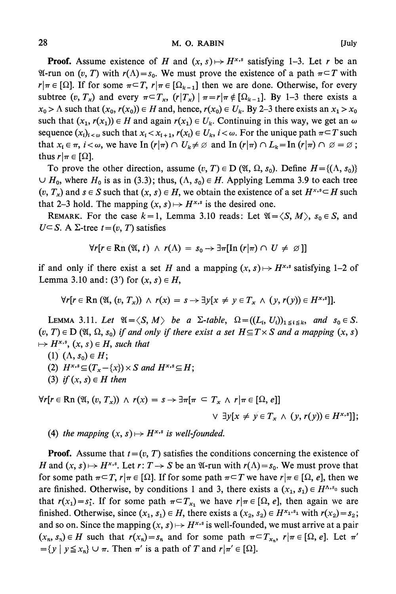**Proof.** Assume existence of H and  $(x, s) \mapsto H^{x,s}$  satisfying 1-3. Let r be an  **24-run on (v, T) with**  $r(\Lambda) = s_0$ **. We must prove the existence of a path**  $\pi \subset T$  **with**  $r|\pi \in [\Omega]$ . If for some  $\pi \subset T$ ,  $r|\pi \in [\Omega_{k-1}]$  then we are done. Otherwise, for every subtree  $(v, T_x)$  and every  $\pi \subset T_x$ ,  $(r|T_x) | \pi = r|\pi \notin [\Omega_{k-1}]$ . By 1-3 there exists a  $x_0 > \Lambda$  such that  $(x_0, r(x_0)) \in H$  and, hence,  $r(x_0) \in U_k$ . By 2-3 there exists an  $x_1 > x_0$ such that  $(x_1, r(x_1)) \in H$  and again  $r(x_1) \in U_k$ . Continuing in this way, we get an  $\omega$ **sequence**  $(x_i)_{i \leq \omega}$  such that  $x_i \leq x_{i+1}$ ,  $r(x_i) \in U_k$ ,  $i \leq \omega$ . For the unique path  $\pi \subseteq T$  such **that**  $x_i \in \pi$ ,  $i < \omega$ , we have In  $(r|\pi) \cap U_k \neq \emptyset$  and In  $(r|\pi) \cap L_k = \text{In } (r|\pi) \cap \emptyset = \emptyset$ ; **thus**  $r|\pi \in [\Omega]$ .

To prove the other direction, assume  $(v, T) \in D$   $(\mathfrak{A}, \Omega, s_0)$ . Define  $H = \{(\Lambda, s_0)\}$  $\cup$  H<sub>0</sub>, where H<sub>0</sub> is as in (3.3); thus, ( $\Lambda$ ,  $s_0$ )  $\in$  H. Applying Lemma 3.9 to each tree  $(v, T_x)$  and  $s \in S$  such that  $(x, s) \in H$ , we obtain the existence of a set  $H^{x,s} \subseteq H$  such that 2-3 hold. The mapping  $(x, s) \mapsto H^{x,s}$  is the desired one.

**REMARK.** For the case  $k=1$ , Lemma 3.10 reads: Let  $\mathfrak{A} = \langle S, M \rangle$ ,  $s_0 \in S$ , and  $U \subseteq S$ . A  $\Sigma$ -tree  $t = (v, T)$  satisfies

$$
\forall r[r \in \mathbf{Rn}(\mathfrak{A}, t) \land r(\Lambda) = s_0 \rightarrow \exists \pi[\mathrm{In}(r|\pi) \cap U \neq \varnothing]]
$$

if and only if there exist a set H and a mapping  $(x, s) \mapsto H^{x,s}$  satisfying 1-2 of **Lemma 3.10 and: (3') for**  $(x, s) \in H$ **,** 

$$
\forall r[r \in \mathbf{Rn} \left(\mathfrak{A}, (v, T_x) \right) \land r(x) = s \rightarrow \exists y[x \neq y \in T_x \land (y, r(y)) \in H^{x,s}]].
$$

**LEMMA** 3.11. Let  $\mathfrak{A}=\langle S, M \rangle$  be a  $\Sigma$ -table,  $\Omega = ((L_i, U_i))_{1 \leq i \leq k}$ , and  $s_0 \in S$ .  $(v, T) \in D$  ( $\mathfrak{A}, \Omega, s_0$ ) if and only if there exist a set  $H \subseteq T \times S$  and a mapping  $(x, s)$  $\mapsto H^{x,s}, (x, s) \in H$ , such that

- (1)  $(\Lambda, s_0) \in H;$
- (2)  $H^{x,s} \subseteq (T_x \{x\}) \times S$  and  $H^{x,s} \subseteq H$ ;
- **(3)** if  $(x, s) \in H$  then

$$
\forall r[r \in \mathbb{R}\mathrm{n} \left(\mathfrak{A}, (v, T_x) \right) \land r(x) = s \rightarrow \exists \pi[\pi \subseteq T_x \land r | \pi \in [\Omega, e]]
$$
  
 
$$
\lor \exists y[x \neq y \in T_x \land (y, r(y)) \in H^{x,s}]]
$$

**(4)** the mapping  $(x, s) \mapsto H^{x,s}$  is well-founded.

**Proof.** Assume that  $t = (v, T)$  satisfies the conditions concerning the existence of *H* and  $(x, s) \mapsto H^{x,s}$ . Let  $r: T \to S$  be an  $\mathfrak{A}$ -run with  $r(\Lambda) = s_0$ . We must prove that **for some path**  $\pi \subset T$ **,**  $r|\pi \in [\Omega]$ **. If for some path**  $\pi \subset T$  **we have**  $r|\pi \in [\Omega, e]$ **, then we** are finished. Otherwise, by conditions 1 and 3, there exists a  $(x_1, s_1) \in H^{\Lambda, s_0}$  such **that**  $r(x_1) = s_1$ **. If for some path**  $\pi \subset T_{x_1}$  **we have**  $r | \pi \in [\Omega, e]$ **, then again we are finished.** Otherwise, since  $(x_1, s_1) \in H$ , there exists a  $(x_2, s_2) \in H^{x_1, s_1}$  with  $r(x_2) = s_2$ ; and so on. Since the mapping  $(x, s) \mapsto H^{x,s}$  is well-founded, we must arrive at a pair  $(x_n, s_n) \in H$  such that  $r(x_n) = s_n$  and for some path  $\pi \subset T_{x_n}$ ,  $r | \pi \in [\Omega, e]$ . Let  $\pi'$  $= \{ y \mid y \leq x_n \}$   $\cup$   $\pi$ . Then  $\pi'$  is a path of T and  $r | \pi' \in [\Omega]$ .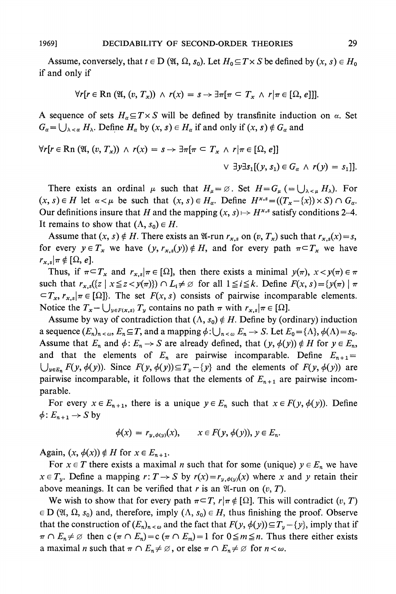Assume, conversely, that  $t \in D$  ( $\mathfrak{A}, \Omega, s_0$ ). Let  $H_0 \subseteq T \times S$  be defined by  $(x, s) \in H_0$ **if and only if** 

$$
\forall r[r \in \mathbb{R}\mathrm{n} \;(\mathfrak{A},(v,T_x)) \;\wedge\; r(x) = s \rightarrow \exists \pi[\pi \subset T_x \;\wedge\; r | \pi \in [\Omega,e]]].
$$

**A** sequence of sets  $H_{\alpha} \subseteq T \times S$  will be defined by transfinite induction on  $\alpha$ . Set  $G_{\alpha} = \bigcup_{\lambda \leq \alpha} H_{\lambda}$ . Define  $H_{\alpha}$  by  $(x, s) \in H_{\alpha}$  if and only if  $(x, s) \notin G_{\alpha}$  and

$$
\forall r[r \in \mathbb{R}\text{ n } (\mathfrak{A}, (v, T_x)) \ \land \ r(x) = s \rightarrow \exists \pi[\pi \subseteq T_x \ \land \ r|\pi \in [\Omega, e]]
$$

$$
\lor \ \exists y \exists s_1[(y, s_1) \in G_\alpha \ \land \ r(y) = s_1]].
$$

There exists an ordinal  $\mu$  such that  $H_{\mu} = \emptyset$ . Set  $H = G_{\mu} (= \bigcup_{\lambda \le \mu} H_{\lambda})$ . For  $(x, s) \in H$  let  $\alpha < \mu$  be such that  $(x, s) \in H_\alpha$ . Define  $H^{x,s} = ((T_x - \{x\}) \times S) \cap G_\alpha$ . Our definitions insure that H and the mapping  $(x, s) \mapsto H^{x,s}$  satisfy conditions 2-4. It remains to show that  $(\Lambda, s_0) \in H$ .

Assume that  $(x, s) \notin H$ . There exists an  $\mathfrak{A}$ -run  $r_{x,s}$  on  $(v, T_x)$  such that  $r_{x,s}(x) = s$ , for every  $y \in T_x$  we have  $(y, r_{x,s}(y)) \notin H$ , and for every path  $\pi \subset T_x$  we have  $r_{x,s}$   $\pi \notin [\Omega, e].$ 

Thus, if  $\pi \subset T_x$  and  $r_{x,s}|\pi \in [\Omega]$ , then there exists a minimal  $y(\pi)$ ,  $x < y(\pi) \in \pi$ such that  $r_{x,s}(\{z \mid x \leq z < y(\pi)\}) \cap L_i \neq \emptyset$  for all  $1 \leq i \leq k$ . Define  $F(x, s) = \{y(\pi) \mid \pi$  $\subset T_x$ ,  $r_{x,s}$   $\tau \in [\Omega]$ . The set  $F(x, s)$  consists of pairwise incomparable elements. Notice the  $T_x - \bigcup_{y \in F(x,s)} T_y$  contains no path  $\pi$  with  $r_{x,s} | \pi \in [\Omega]$ .

Assume by way of contradiction that  $(\Lambda, s_0) \notin H$ . Define by (ordinary) induction **a** sequence  $(E_n)_{n \leq \omega}$ ,  $E_n \subseteq T$ , and a mapping  $\phi: \bigcup_{n \leq \omega} E_n \to S$ . Let  $E_0 = \{\Lambda\}$ ,  $\phi(\Lambda) = s_0$ . Assume that  $E_n$  and  $\phi: E_n \to S$  are already defined, that  $(y, \phi(y)) \notin H$  for  $y \in E_n$ , and that the elements of  $E_n$  are pairwise incomparable. Define  $E_{n+1} =$  $\bigcup_{y \in E_n} F(y, \phi(y))$ . Since  $F(y, \phi(y)) \subseteq T_y - \{y\}$  and the elements of  $F(y, \phi(y))$  are pairwise incomparable, it follows that the elements of  $E_{n+1}$  are pairwise incom**parable.** 

For every  $x \in E_{n+1}$ , there is a unique  $y \in E_n$  such that  $x \in F(y, \phi(y))$ . Define  $\phi: E_{n+1} \to S$  by

$$
\phi(x) = r_{y, \phi(y)}(x), \qquad x \in F(y, \phi(y)), y \in E_n.
$$

Again,  $(x, \phi(x)) \notin H$  for  $x \in E_{n+1}$ .

For  $x \in T$  there exists a maximal *n* such that for some (unique)  $y \in E_n$  we have  $x \in T_y$ . Define a mapping  $r: T \to S$  by  $r(x) = r_{y,\phi(y)}(x)$  where x and y retain their above meanings. It can be verified that r is an  $\mathfrak{A}\text{-run}$  on  $(v, T)$ .

We wish to show that for every path  $\pi \subset T$ ,  $r | \pi \notin [\Omega]$ . This will contradict  $(v, T)$  $E \in D$  ( $\mathfrak{A}, \mathfrak{A}, s_0$ ) and, therefore, imply  $(\Lambda, s_0) \in H$ , thus finishing the proof. Observe that the construction of  $(E_n)_{n \leq \omega}$  and the fact that  $F(y, \phi(y)) \subseteq T_y - \{y\}$ , imply that if  $\pi \cap E_n \neq \emptyset$  then  $c(\pi \cap E_n) = c(\pi \cap E_m) = 1$  for  $0 \leq m \leq n$ . Thus there either exists **a** maximal *n* such that  $\pi \cap E_n \neq \emptyset$ , or else  $\pi \cap E_n \neq \emptyset$  for  $n < \omega$ .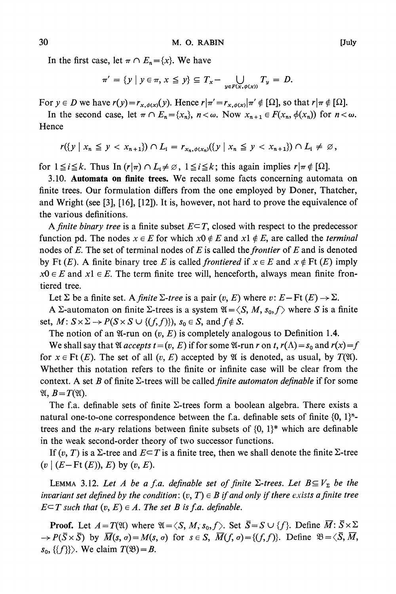In the first case, let  $\pi \cap E_n = \{x\}$ . We have

$$
\pi' = \{y \mid y \in \pi, x \leq y\} \subseteq T_x - \bigcup_{y \in F(x, \phi(x))} T_y = D.
$$

For  $y \in D$  we have  $r(y) = r_{x, \phi(x)}(y)$ . Hence  $r | \pi' = r_{x, \phi(x)} | \pi' \notin [\Omega]$ , so that  $r | \pi \notin [\Omega]$ .

In the second case, let  $\pi \cap E_n = \{x_n\}$ ,  $n < \omega$ . Now  $x_{n+1} \in F(x_n, \phi(x_n))$  for  $n < \omega$ . **Hence** 

 $r(\{y \mid x_n \leq y < x_{n+1}\}) \cap L_i = r_{x_n, \phi(x_n)}(\{y \mid x_n \leq y < x_{n+1}\}) \cap L_i \neq \emptyset$ ,

for  $1 \leq i \leq k$ . Thus In  $(r|\pi) \cap L_i \neq \emptyset$ ,  $1 \leq i \leq k$ ; this again implies  $r|\pi \notin [\Omega]$ .

**3.10. Automata on finite trees. We recall some facts concerning automata on finite trees. Our formulation differs from the one employed by Doner, Thatcher, and Wright (see [3], [16], [12]). It is, however, not hard to prove the equivalence of the various definitions.** 

A *finite binary tree* is a finite subset  $E \subseteq T$ , closed with respect to the predecessor function pd. The nodes  $x \in E$  for which  $x0 \notin E$  and  $x1 \notin E$ , are called the *terminal* **nodes of E. The set of terminal nodes of E is called the frontier of E and is denoted**  by Ft  $(E)$ . A finite binary tree E is called *frontiered* if  $x \in E$  and  $x \notin \text{Ft}(E)$  imply  $x0 \in E$  and  $x1 \in E$ . The term finite tree will, henceforth, always mean finite fron**tiered tree.** 

Let  $\Sigma$  be a finite set. A *finite*  $\Sigma$ -tree is a pair  $(v, E)$  where  $v: E - \text{Ft}(E) \rightarrow \Sigma$ .

**A**  $\Sigma$ -automaton on finite  $\Sigma$ -trees is a system  $\mathfrak{A} = \langle S, M, s_0, f \rangle$  where S is a finite **set,**  $M: S \times \Sigma \rightarrow P(S \times S \cup \{(f, f)\})$ ,  $s_0 \in S$ , and  $f \notin S$ .

The notion of an  $\mathfrak{A}\text{-run}$  on  $(v, E)$  is completely analogous to Definition 1.4.

We shall say that  $\mathfrak A$  *accepts*  $t = (v, E)$  if for some  $\mathfrak A$ -run r on t,  $r(\Lambda) = s_0$  and  $r(x) = f$ for  $x \in \text{Ft}(E)$ . The set of all  $(v, E)$  accepted by  $\mathfrak{A}$  is denoted, as usual, by  $T(\mathfrak{A})$ . **Whether this notation refers to the finite or infinite case will be clear from the**  context. A set B of finite  $\Sigma$ -trees will be called *finite automaton definable* if for some  $\mathfrak{A}, B=T(\mathfrak{A}).$ 

The f.a. definable sets of finite  $\Sigma$ -trees form a boolean algebra. There exists a natural one-to-one correspondence between the f.a. definable sets of finite  $\{0, 1\}^n$ trees and the *n*-ary relations between finite subsets of  $\{0, 1\}^*$  which are definable **in the weak second-order theory of two successor functions.** 

If  $(v, T)$  is a  $\Sigma$ -tree and  $E \subseteq T$  is a finite tree, then we shall denote the finite  $\Sigma$ -tree  $(v \mid (E - \text{Ft } (E)), E)$  by  $(v, E)$ .

**LEMMA** 3.12. Let A be a f.a. definable set of finite  $\Sigma$ -trees. Let  $B \subseteq V_{\Sigma}$  be the **invariant set defined by the condition:**  $(v, T) \in B$  if and only if there exists a finite tree  $E \subseteq T$  such that  $(v, E) \in A$ . The set B is f.a. definable.

**Proof.** Let  $A = T(\mathfrak{A})$  where  $\mathfrak{A} = \langle S, M, s_0, f \rangle$ . Set  $\overline{S} = S \cup \{f\}$ . Define  $\overline{M} : \overline{S} \times \Sigma$  $\rightarrow P(\bar{S}\times\bar{S})$  by  $\bar{M}(s, \sigma)=M(s, \sigma)$  for  $s\in S$ ,  $\bar{M}(f, \sigma)=\{(f, f)\}\$ . Define  $\mathfrak{B}=\langle \bar{S}, \bar{M}, \bar{S}\rangle$  $s_0, \{\{f\}\}\rangle$ . We claim  $T(\mathfrak{B})=B$ .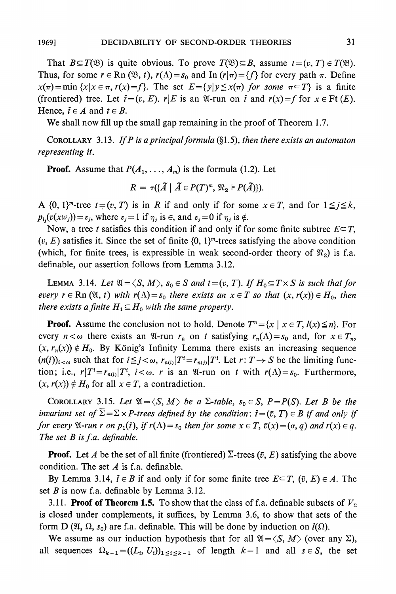That  $B \subseteq T(\mathfrak{B})$  is quite obvious. To prove  $T(\mathfrak{B}) \subseteq B$ , assume  $t = (v, T) \in T(\mathfrak{B})$ . Thus, for some  $r \in \text{Rn}(\mathfrak{B}, t)$ ,  $r(\Lambda) = s_0$  and In  $(r|\pi) = \{f\}$  for every path  $\pi$ . Define  $x(\pi) = \min \{x | x \in \pi, r(x) = f\}$ . The set  $E = \{y | y \leq x(\pi) \text{ for some } \pi \subset T\}$  is a finite (frontiered) tree. Let  $\bar{t} = (v, E)$ .  $r|E$  is an  $\mathfrak{A}$ -run on  $\bar{t}$  and  $r(x) = f$  for  $x \in \mathrm{Ft}(E)$ . **Hence,**  $\bar{t} \in A$  and  $t \in B$ .

**We shall now fill up the small gap remaining in the proof of Theorem 1.7.** 

**COROLLARY** 3.13. If P is a principal formula  $(\S1.5)$ , then there exists an automaton **representing it.** 

**Proof.** Assume that  $P(A_1, \ldots, A_m)$  is the formula (1.2). Let

$$
R = \tau(\{\widetilde{A} \mid \widetilde{A} \in P(T)^m, \mathfrak{N}_2 \models P(\widetilde{A})\}).
$$

A  $\{0, 1\}^m$ -tree  $t=(v, T)$  is in R if and only if for some  $x \in T$ , and for  $1 \leq j \leq k$ ,  $p_{i,j}(v(xw_j)) = \varepsilon_j$ , where  $\varepsilon_j = 1$  if  $\eta_j$  is  $\in$ , and  $\varepsilon_j = 0$  if  $\eta_j$  is  $\notin$ .

Now, a tree t satisfies this condition if and only if for some finite subtree  $E \subseteq T$ ,  $(v, E)$  satisfies it. Since the set of finite  $\{0, 1\}^m$ -trees satisfying the above condition (which, for finite trees, is expressible in weak second-order theory of  $\mathcal{R}_2$ ) is f.a. **definable, our assertion follows from Lemma 3.12.** 

**LEMMA** 3.14. Let  $\mathfrak{A} = \langle S, M \rangle$ ,  $s_0 \in S$  and  $t = (v, T)$ . If  $H_0 \subseteq T \times S$  is such that for *every*  $r \in \text{Rn}(\mathfrak{A}, t)$  with  $r(\Lambda) = s_0$  there exists an  $x \in T$  so that  $(x, r(x)) \in H_0$ , then *there exists a finite*  $H_1 \subseteq H_0$  *with the same property.* 

**Proof.** Assume the conclusion not to hold. Denote  $T^n = \{x \mid x \in T, l(x) \leq n\}$ . For every  $n < \omega$  there exists an  $\mathfrak{A}$ -run  $r_n$  on t satisfying  $r_n(\Lambda) = s_0$  and, for  $x \in T_n$ ,  $(x, r_n(x)) \notin H_0$ . By König's Infinity Lemma there exists an increasing sequence  $(n(i))_{i < \omega}$  such that for  $i \leq j < \omega$ ,  $r_{n(i)}|T^i = r_{n(j)}|T^i$ . Let  $r: T \rightarrow S$  be the limiting function; i.e.,  $r|T^i=r_{n(i)}|T^i$ ,  $i<\omega$ . *r* is an  $\mathfrak{A}$ -run on *t* with  $r(\Lambda)=s_0$ . Furthermore,  $(x, r(x)) \notin H_0$  for all  $x \in T$ , a contradiction.

**COROLLARY 3.15.** Let  $\mathfrak{A} = \langle S, M \rangle$  be a  $\Sigma$ -table,  $s_0 \in S$ ,  $P = P(S)$ . Let B be the **invariant set of**  $\overline{\Sigma} = \Sigma \times P$ **-trees defined by the condition:**  $\overline{t} = (\overline{v}, T) \in B$  **if and only if** for every  $\mathfrak{A}$ -run r on  $p_1(\tilde{t})$ , if  $r(\Lambda) = s_0$  then for some  $x \in T$ ,  $\tilde{v}(x) = (\sigma, q)$  and  $r(x) \in q$ . **The set B is f.a. definable.** 

**Proof.** Let A be the set of all finite (frontiered)  $\overline{\Sigma}$ -trees ( $\overline{v}$ , E) satisfying the above **condition. The set A is f.a. definable.** 

By Lemma 3.14,  $\bar{t} \in B$  if and only if for some finite tree  $E \subseteq T$ ,  $(\bar{v}, E) \in A$ . The **set B is now f.a. definable by Lemma 3.12.** 

**3.11. Proof of Theorem 1.5.** To show that the class of f.a. definable subsets of  $V_{\rm z}$ **is closed under complements, it suffices, by Lemma 3.6, to show that sets of the**  form D ( $\mathfrak{A}, \Omega, s_0$ ) are f.a. definable. This will be done by induction on  $I(\Omega)$ .

We assume as our induction hypothesis that for all  $\mathfrak{A} = \langle S, M \rangle$  (over any  $\Sigma$ ), **all sequences**  $\Omega_{k-1} = ((L_i, U_i))_{1 \leq i \leq k-1}$  of length  $k-1$  and all  $s \in S$ , the set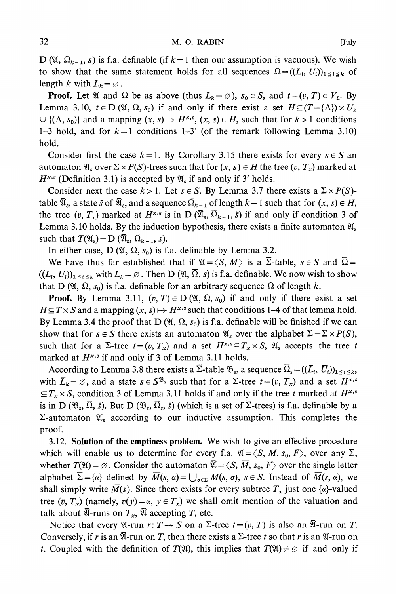**D** ( $\mathfrak{A}, \Omega_{k-1}, s$ ) is f.a. definable (if  $k=1$  then our assumption is vacuous). We wish to show that the same statement holds for all sequences  $\Omega = ((L_i, U_i))_{1 \leq i \leq k}$  of **length**  $k$  with  $L_k = \emptyset$ .

**Proof.** Let  $\mathfrak{A}$  and  $\Omega$  be as above (thus  $L_k = \emptyset$ ),  $s_0 \in S$ , and  $t = (v, T) \in V_{\Sigma}$ . By **Lemma 3.10,**  $t \in D(\mathfrak{A}, \Omega, s_0)$  if and only if there exist a set  $H \subseteq (T - \{\Lambda\}) \times U_k$  $\cup$  { $(\Lambda, s_0)$ } and a mapping  $(x, s) \mapsto H^{x,s}$ ,  $(x, s) \in H$ , such that for  $k > 1$  conditions 1-3 hold, and for  $k=1$  conditions 1-3' (of the remark following Lemma 3.10) **hold.** 

Consider first the case  $k = 1$ . By Corollary 3.15 there exists for every  $s \in S$  and automaton  $\mathfrak{A}_s$  over  $\Sigma \times P(S)$ -trees such that for  $(x, s) \in H$  the tree  $(v, T_x)$  marked at  $H^{x,s}$  (Definition 3.1) is accepted by  $\mathfrak{A}_s$  if and only if 3' holds.

Consider next the case  $k > 1$ . Let  $s \in S$ . By Lemma 3.7 there exists a  $\Sigma \times P(S)$ **table**  $\overline{\mathfrak{A}}_s$ **, a state** *s* **of**  $\overline{\mathfrak{A}}_s$ **, and a sequence**  $\overline{\Omega}_{k-1}$  **of length**  $k-1$  **such that for**  $(x, s) \in H$ **, the tree**  $(v, T_x)$  **marked at**  $H^{x,s}$  **is in D**  $(\overline{\mathfrak{A}}_s, \overline{\mathfrak{Q}}_{k-1}, \overline{s})$  **if and only if condition 3 of Lemma 3.10 holds. By the induction hypothesis, there exists a finite automaton Ws**  such that  $T(\mathfrak{A}_s) = D(\overline{\mathfrak{A}}_s, \overline{\Omega}_{k-1}, \overline{s}).$ 

In either case,  $D$  ( $\mathfrak{A}, \Omega, s_0$ ) is f.a. definable by Lemma 3.2.

We have thus far established that if  $\mathfrak{A} = \langle S, M \rangle$  is a  $\overline{\Sigma}$ -table,  $s \in S$  and  $\overline{\Omega} =$  $((L_i, U_i))_{1 \leq i \leq k}$  with  $L_k = \emptyset$ . Then D  $(\mathfrak{A}, \overline{\Omega}, s)$  is f.a. definable. We now wish to show that D ( $\mathfrak{A}, \Omega, s_0$ ) is f.a. definable for an arbitrary sequence  $\Omega$  of length k.

**Proof.** By Lemma 3.11,  $(v, T) \in D$  ( $\mathfrak{A}, \mathfrak{A}, s_0$ ) if and only if there exist a set  $H \subseteq T \times S$  and a mapping  $(x, s) \mapsto H^{x,s}$  such that conditions 1-4 of that lemma hold. By Lemma 3.4 the proof that  $D(\mathfrak{A}, \Omega, s_0)$  is f.a. definable will be finished if we can show that for  $s \in S$  there exists an automaton  $\mathfrak{A}_s$  over the alphabet  $\overline{\Sigma} = \Sigma \times P(S)$ , such that for a  $\Sigma$ -tree  $t = (v, T_x)$  and a set  $H^{x,s} \subset T_x \times S$ ,  $\mathfrak{A}_s$  accepts the tree t **marked at Hx,s if and only if 3 of Lemma 3.11 holds.** 

According to Lemma 3.8 there exists a  $\overline{\Sigma}$ -table  $\mathfrak{B}_s$ , a sequence  $\overline{\Omega}_s = ((\overline{L}_i, \overline{U}_i))_{1 \leq i \leq k}$ with  $\bar{L}_k = \emptyset$ , and a state  $\bar{s} \in S^{\mathfrak{B}_s}$  such that for a  $\Sigma$ -tree  $t = (v, T_x)$  and a set  $H^{x,s}$  $\subseteq T$ <sub>x</sub>  $\times$  **S**, condition 3 of Lemma 3.11 holds if and only if the tree t marked at  $H^{x,s}$ is in D  $(\mathfrak{B}_s, \overline{\Omega}, \overline{s})$ . But D  $(\mathfrak{B}_s, \overline{\Omega}_s, \overline{s})$  (which is a set of  $\overline{\Sigma}$ -trees) is f.a. definable by a  $\overline{\Sigma}$ -automaton  $\mathfrak{A}_s$  according to our inductive assumption. This completes the **proof.** 

**3.12. Solution of the emptiness problem. We wish to give an effective procedure**  which will enable us to determine for every f.a.  $\mathfrak{A} = \langle S, M, s_0, F \rangle$ , over any  $\Sigma$ , whether  $T(\mathfrak{A}) = \emptyset$ . Consider the automaton  $\overline{\mathfrak{A}} = \langle S, \overline{M}, s_0, F \rangle$  over the single letter alphabet  $\overline{\Sigma} = {\alpha}$  defined by  $\overline{M}(s, \alpha) = \bigcup_{\alpha \in \Sigma} M(s, \alpha)$ ,  $s \in S$ . Instead of  $\overline{M}(s, \alpha)$ , we shall simply write  $\overline{M}(s)$ . Since there exists for every subtree  $T_x$  just one { $\alpha$ }-valued **tree**  $(\bar{v}, T_x)$  (namely,  $\bar{v}(y) = \alpha$ ,  $y \in T_x$ ) we shall omit mention of the valuation and talk about  $\overline{\mathfrak{A}}$ -runs on  $T_x$ ,  $\overline{\mathfrak{A}}$  accepting T, etc.

Notice that every  $\mathfrak{A}$ -run  $r: T \to S$  on a  $\Sigma$ -tree  $t = (v, T)$  is also an  $\overline{\mathfrak{A}}$ -run on  $T$ . Conversely, if r is an  $\mathfrak{A}$ -run on T, then there exists a  $\Sigma$ -tree t so that r is an  $\mathfrak{A}$ -run on *t*. Coupled with the definition of  $T(\mathfrak{A})$ , this implies that  $T(\mathfrak{A}) \neq \emptyset$  if and only if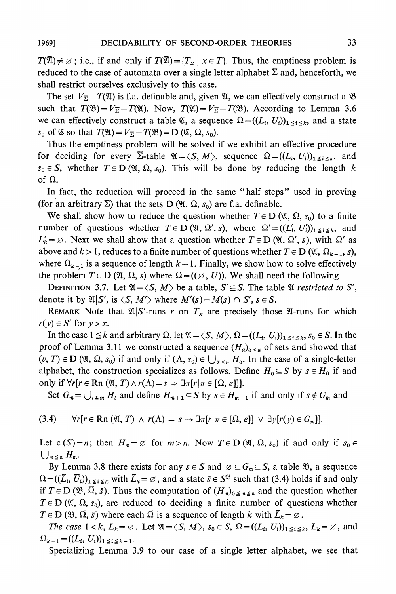$T(\overline{\mathfrak{A}}) \neq \emptyset$ ; i.e., if and only if  $T(\overline{\mathfrak{A}}) = \{T_x \mid x \in T\}$ . Thus, the emptiness problem is reduced to the case of automata over a single letter alphabet  $\Sigma$  and, henceforth, we **shall restrict ourselves exclusively to this case.** 

The set  $V_{\overline{2}} - T(\mathfrak{A})$  is f.a. definable and, given  $\mathfrak{A}$ , we can effectively construct a  $\mathfrak{B}$ such that  $T(\mathfrak{B}) = V_{\overline{\Sigma}} - T(\mathfrak{A})$ . Now,  $T(\mathfrak{A}) = V_{\overline{\Sigma}} - T(\mathfrak{B})$ . According to Lemma 3.6 we can effectively construct a table  $\mathfrak{C}$ , a sequence  $\Omega = ((L_i, U_i))_{1 \leq i \leq k}$ , and a state  $s_0$  of  $\mathfrak C$  so that  $T(\mathfrak A) = V_{\overline{\Sigma}} - T(\mathfrak B) = \mathbf{D}(\mathfrak C, \Omega, s_0)$ .

**Thus the emptiness problem will be solved if we exhibit an effective procedure**  for deciding for every  $\overline{\Sigma}$ -table  $\mathfrak{A} = \langle S, M \rangle$ , sequence  $\Omega = ((L_i, U_i))_{1 \leq i \leq k}$ , and  $s_0 \in S$ , whether  $T \in D(\mathfrak{A}, \Omega, s_0)$ . This will be done by reducing the length k of  $\Omega$ .

**In fact, the reduction will proceed in the same "half steps" used in proving**  (for an arbitrary  $\Sigma$ ) that the sets  $D(\mathfrak{A}, \Omega, s_0)$  are f.a. definable.

We shall show how to reduce the question whether  $T \in D$  ( $\mathfrak{A}, \Omega, s_0$ ) to a finite **number** of questions whether  $T \in D$  ( $\mathfrak{A}, \Omega', s$ ), where  $\Omega' = ((L'_i, U'_i))_{1 \leq i \leq k}$ , and  $L'_k = \emptyset$ . Next we shall show that a question whether  $T \in D$  ( $\mathfrak{A}, \Omega', s$ ), with  $\Omega'$  as above and  $k > 1$ , reduces to a finite number of questions whether  $T \in D$  ( $\mathfrak{A}, \Omega_{k-1}, s$ ), where  $\Omega_{k-1}$  is a sequence of length  $k-1$ . Finally, we show how to solve effectively the problem  $T \in D$  ( $\mathfrak{A}, \Omega, s$ ) where  $\Omega = ((\emptyset, U))$ . We shall need the following

**DEFINITION 3.7.** Let  $\mathfrak{A} = \langle S, M \rangle$  be a table,  $S' \subseteq S$ . The table  $\mathfrak{A}$  *restricted to* S', denote it by  $\mathfrak{A}|S'$ , is  $\langle S, M' \rangle$  where  $M'(s) = M(s) \cap S'$ ,  $s \in S$ .

**REMARK** Note that  $\mathfrak{A}|S'$ -runs r on  $T_x$  are precisely those  $\mathfrak{A}$ -runs for which  $r(y) \in S'$  for  $y > x$ .

In the case  $1 \leq k$  and arbitrary  $\Omega$ , let  $\mathfrak{A} = \langle S, M \rangle$ ,  $\Omega = ((L_i, U_i))_{1 \leq i \leq k}$ ,  $s_0 \in S$ . In the proof of Lemma 3.11 we constructed a sequence  $(H_\alpha)_{\alpha<\mu}$  of sets and showed that  $(v, T) \in D$  ( $\mathfrak{A}, \Omega, s_0$ ) if and only if  $(\Lambda, s_0) \in \bigcup_{\alpha < \mu} H_\alpha$ . In the case of a single-letter alphabet, the construction specializes as follows. Define  $H_0 \subseteq S$  by  $s \in H_0$  if and **only if**  $\forall r[r \in \mathbb{R} \cap (\mathfrak{A}, T) \wedge r(\Lambda) = s \Rightarrow \exists \pi[r|\pi \in [\Omega, e]]$ **.** 

Set  $G_m = \bigcup_{l \leq m} H_l$  and define  $H_{m+1} \subseteq S$  by  $s \in H_{m+1}$  if and only if  $s \notin G_m$  and

$$
(3.4) \quad \forall r[r \in \mathbf{Rn} \, (\mathfrak{A}, T) \land r(\Lambda) = s \rightarrow \exists \pi[r|\pi \in [\Omega, e]] \lor \exists y[r(y) \in G_m]].
$$

Let  $c(S)=n$ ; then  $H_m = \emptyset$  for  $m > n$ . Now  $T \in D(\mathfrak{A}, \Omega, s_0)$  if and only if  $s_0 \in$  $\bigcup_{m \leq n} H_m$ .

By Lemma 3.8 there exists for any  $s \in S$  and  $\varnothing \subseteq G_m \subseteq S$ , a table  $\mathfrak{B}$ , a sequence  $\overline{\Omega} = ((\overline{L}_i, \overline{U}_i))_{1 \leq i \leq k}$  with  $\overline{L}_k = \emptyset$ , and a state  $\overline{s} \in S^{\mathfrak{B}}$  such that (3.4) holds if and only if  $T \in D(\mathfrak{B}, \overline{\Omega}, \overline{s})$ . Thus the computation of  $(H_m)_{0 \le m \le n}$  and the question whether  $T \in D$  ( $\mathfrak{A}, \Omega, s_0$ ), are reduced to deciding a finite number of questions whether  $T \in D(\mathfrak{B}, \Omega, \bar{s})$  where each  $\Omega$  is a sequence of length k with  $\bar{L}_k = \emptyset$ .

*The case*  $1 < k$ ,  $L_k = \emptyset$ . Let  $\mathfrak{A} = \langle S, M \rangle$ ,  $s_0 \in S$ ,  $\Omega = ((L_i, U_i))_{1 \leq i \leq k}$ ,  $L_k = \emptyset$ , and  $\Omega_{k-1} = ((L_i, U_i))_{1 \leq i \leq k-1}.$ 

**Specializing Lemma 3.9 to our case of a single letter alphabet, we see that**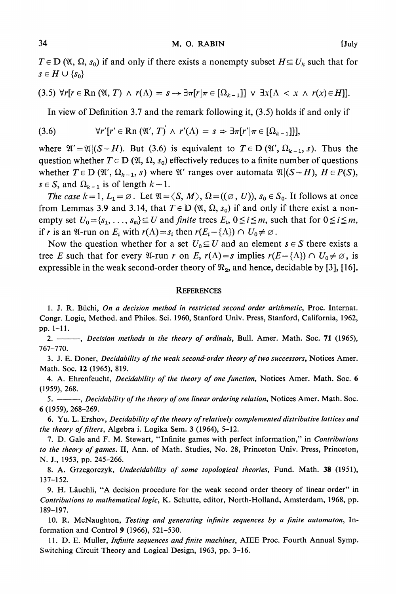#### **34 M. 0. RABIN [July**

 $T \in D$  ( $\mathfrak{A}, \Omega, s_0$ ) if and only if there exists a nonempty subset  $H \subseteq U_k$  such that for  $s \in H \cup \{s_0\}$ 

$$
(3.5) \ \forall r[r \in \mathbf{Rn} \ (\mathfrak{A}, T) \ \wedge \ r(\Lambda) = s \rightarrow \exists \pi[r|\pi \in [\Omega_{k-1}]] \ \vee \ \exists x[\Lambda < x \ \wedge \ r(x) \in H]].
$$

**In view of Definition 3.7 and the remark following it, (3.5) holds if and only if** 

**(3.6) Vr'[r' e Rn (9', T) A r'(A) = s => 37T[r'I7Tc [Qke-l]]]** 

where  $\mathfrak{A}' = \mathfrak{A} | (S - H)$ . But (3.6) is equivalent to  $T \in D(\mathfrak{A}', \Omega_{k-1}, s)$ . Thus the question whether  $T \in D$  ( $\mathfrak{A}, \Omega, s_0$ ) effectively reduces to a finite number of questions whether  $T \in D$  ( $\mathfrak{A}'$ ,  $\Omega_{k-1}$ , s) where  $\mathfrak{A}'$  ranges over automata  $\mathfrak{A} | (S-H)$ ,  $H \in P(S)$ ,  $s \in S$ , and  $\Omega_{k-1}$  is of length  $k-1$ .

The case  $k=1, L_1=\emptyset$ . Let  $\mathfrak{A}=\langle S, M \rangle$ ,  $\Omega = ((\emptyset, U))$ ,  $s_0 \in S_0$ . It follows at once from Lemmas 3.9 and 3.14, that  $T \in D$  ( $\mathfrak{A}, \Omega, s_0$ ) if and only if there exist a non**empty set**  $U_0 = \{s_1, \ldots, s_m\} \subseteq U$  and *finite* trees  $E_i$ ,  $0 \le i \le m$ , such that for  $0 \le i \le m$ , **if r** is an  $\mathfrak{A}$ -run on  $E_i$  with  $r(\Lambda) = s_i$  then  $r(E_i - {\Lambda}) \cap U_0 \neq \emptyset$ .

Now the question whether for a set  $U_0 \subseteq U$  and an element  $s \in S$  there exists a **tree E** such that for every  $\mathfrak{A}$ -run r on E,  $r(\Lambda) = s$  implies  $r(E - {\Lambda}) \cap U_0 \neq \emptyset$ , is expressible in the weak second-order theory of  $\mathcal{R}_2$ , and hence, decidable by [3], [16].

#### **REFERENCES**

**1. J. R. Buchi, On a decision method in restricted second order arithmetic, Proc. Internat. Congr. Logic, Method. and Philos. Sci. 1960, Stanford Univ. Press, Stanford, California, 1962, pp. 1-11.** 

**2. , Decision methods in the theory of ordinals, Bull. Amer. Math. Soc. 71 (1965), 767-770.** 

**3. J. E. Doner, Decidability of the weak second-order theory of two successors, Notices Amer. Math. Soc. 12 (1965), 819.** 

**4. A. Ehrenfeucht, Decidability of the theory of one function, Notices Amer. Math. Soc. 6 (1959), 268.** 

**5. , Decidability of the theory of one linear ordering relation, Notices Amer. Math. Soc. 6 (1959), 268-269.** 

**6. Yu. L. Ershov, Decidability of the theory of relatively complemented distributive lattices and the theory of filters, Algebra i. Logika Sem. 3 (1964), 5-12.** 

**7. D. Gale and F. M. Stewart, "Infinite games with perfect information," in Contributions to the theory of games. II, Ann. of Math. Studies, No. 28, Princeton Univ. Press, Princeton, N. J., 1953, pp. 245-266.** 

**8. A. Grzegorczyk, Undecidability of some topological theories, Fund. Math. 38 (1951), 137-152.** 

**9. H. Lauchli, "A decision procedure for the weak second order theory of linear order" in**  Contributions to mathematical logic, K. Schutte, editor, North-Holland, Amsterdam, 1968, pp. **189-197.** 

**10. R. McNaughton, Testing and generating infinite sequences by a finite automaton, Information and Control 9 (1966), 521-530.** 

**11. D. E. Muller, Infinite sequences and finite machines, AIEE Proc. Fourth Annual Symp. Switching Circuit Theory and Logical Design, 1963, pp. 3-16.**